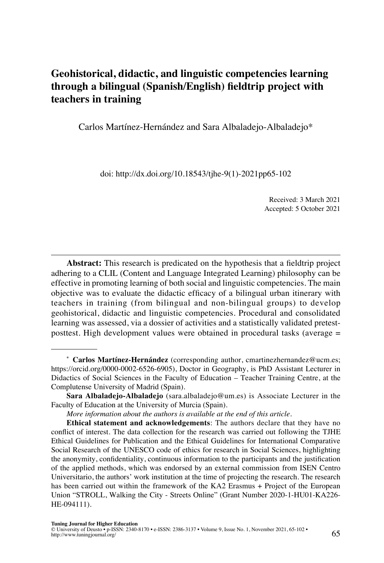# **Geohistorical, didactic, and linguistic competencies learning through a bilingual (Spanish/English) fieldtrip project with teachers in training**

Carlos Martínez-Hernández and Sara Albaladejo-Albaladejo\*

doi: [http://dx.doi.org/10.18543/tjhe-9\(1\)-2021pp65-102](http://dx.doi.org/10.18543/tjhe-9(1)-2021pp65-102)

Received: 3 March 2021 Accepted: 5 October 2021

**Abstract:** This research is predicated on the hypothesis that a fieldtrip project adhering to a CLIL (Content and Language Integrated Learning) philosophy can be effective in promoting learning of both social and linguistic competencies. The main objective was to evaluate the didactic efficacy of a bilingual urban itinerary with teachers in training (from bilingual and non-bilingual groups) to develop geohistorical, didactic and linguistic competencies. Procedural and consolidated learning was assessed, via a dossier of activities and a statistically validated pretestposttest. High development values were obtained in procedural tasks (average =

**<sup>\*</sup> Carlos Martínez-Hernández** (corresponding author, [cmartinezhernandez@ucm.es;](mailto:cmartinezhernandez@ucm.es) [https://orcid.org/0000-0002-6526-6905\)](https://orcid.org/0000-0002-6526-6905), Doctor in Geography, is PhD Assistant Lecturer in Didactics of Social Sciences in the Faculty of Education – Teacher Training Centre, at the Complutense University of Madrid (Spain).

**Sara Albaladejo-Albaladejo** ([sara.albaladejo@um.es\)](mailto:sara.albaladejo@um.es) is Associate Lecturer in the Faculty of Education at the University of Murcia (Spain).

*[More information about the authors is available at the end of this article.](#page-36-0)*

**Ethical statement and acknowledgements**: The authors declare that they have no conflict of interest. The data collection for the research was carried out following the TJHE Ethical Guidelines for Publication and the Ethical Guidelines for International Comparative Social Research of the UNESCO code of ethics for research in Social Sciences, highlighting the anonymity, confidentiality, continuous information to the participants and the justification of the applied methods, which was endorsed by an external commission from ISEN Centro Universitario, the authors' work institution at the time of projecting the research. The research has been carried out within the framework of the KA2 Erasmus + Project of the European Union "STROLL, Walking the City - Streets Online" (Grant Number 2020-1-HU01-KA226- HE-094111).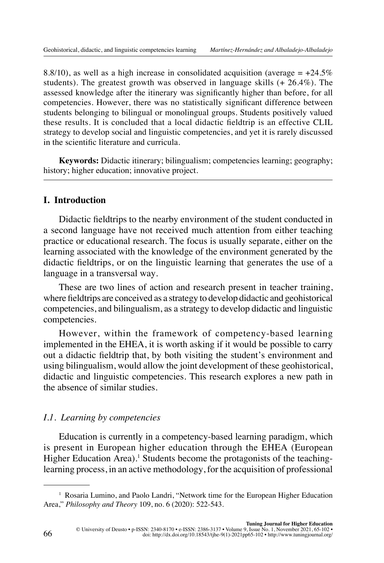8.8/10), as well as a high increase in consolidated acquisition (average  $= +24.5\%$ students). The greatest growth was observed in language skills (+ 26.4%). The assessed knowledge after the itinerary was significantly higher than before, for all competencies. However, there was no statistically significant difference between students belonging to bilingual or monolingual groups. Students positively valued these results. It is concluded that a local didactic fieldtrip is an effective CLIL strategy to develop social and linguistic competencies, and yet it is rarely discussed in the scientific literature and curricula.

**Keywords:** Didactic itinerary; bilingualism; competencies learning; geography; history; higher education; innovative project.

## **I. Introduction**

Didactic fieldtrips to the nearby environment of the student conducted in a second language have not received much attention from either teaching practice or educational research. The focus is usually separate, either on the learning associated with the knowledge of the environment generated by the didactic fieldtrips, or on the linguistic learning that generates the use of a language in a transversal way.

These are two lines of action and research present in teacher training, where fieldtrips are conceived as a strategy to develop didactic and geohistorical competencies, and bilingualism, as a strategy to develop didactic and linguistic competencies.

However, within the framework of competency-based learning implemented in the EHEA, it is worth asking if it would be possible to carry out a didactic fieldtrip that, by both visiting the student's environment and using bilingualism, would allow the joint development of these geohistorical, didactic and linguistic competencies. This research explores a new path in the absence of similar studies.

#### *I.1. Learning by competencies*

Education is currently in a competency-based learning paradigm, which is present in European higher education through the EHEA (European Higher Education Area).<sup>1</sup> Students become the protagonists of the teachinglearning process, in an active methodology, for the acquisition of professional

<sup>&</sup>lt;sup>1</sup> Rosaria Lumino, and Paolo Landri, "Network time for the European Higher Education Area," *Philosophy and Theory* 109, no. 6 (2020): 522-543.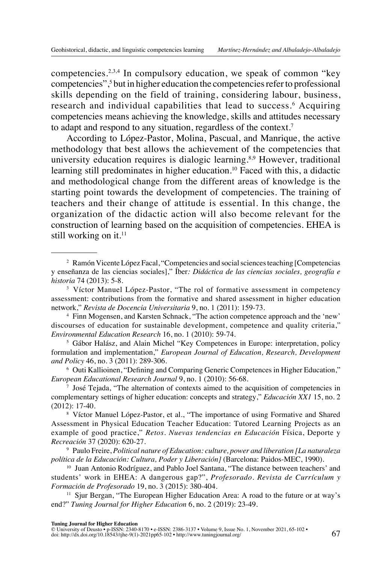competencies.<sup>2,3,4</sup> In compulsory education, we speak of common "key competencies",<sup>5</sup> but in higher education the competencies refer to professional skills depending on the field of training, considering labour, business, research and individual capabilities that lead to success.<sup>6</sup> Acquiring competencies means achieving the knowledge, skills and attitudes necessary to adapt and respond to any situation, regardless of the context.<sup>7</sup>

According to López-Pastor, Molina, Pascual, and Manrique, the active methodology that best allows the achievement of the competencies that university education requires is dialogic learning.<sup>8,9</sup> However, traditional learning still predominates in higher education.10 Faced with this, a didactic and methodological change from the different areas of knowledge is the starting point towards the development of competencies. The training of teachers and their change of attitude is essential. In this change, the organization of the didactic action will also become relevant for the construction of learning based on the acquisition of competencies. EHEA is still working on it.<sup>11</sup>

<sup>6</sup> Outi Kallioinen, "Defining and Comparing Generic Competences in Higher Education," *European Educational Research Journal* 9, no. 1 (2010): 56-68.

<sup>2</sup> Ramón Vicente López Facal, "Competencies and social sciences teaching [Competencias y enseñanza de las ciencias sociales]," Íber*: Didáctica de las ciencias sociales, geografía e historia* 74 (2013): 5-8.

<sup>&</sup>lt;sup>3</sup> Víctor Manuel López-Pastor, "The rol of formative assessment in competency assessment: contributions from the formative and shared assessment in higher education network," *Revista de Docencia Universitaria* 9, no. 1 (2011): 159-73.

<sup>4</sup> Finn Mogensen, and Karsten Schnack, "The action competence approach and the 'new' discourses of education for sustainable development, competence and quality criteria," *Environmental Education Research* 16, no. 1 (2010): 59-74.

<sup>5</sup> Gábor Halász, and Alain Michel "Key Competences in Europe: interpretation, policy formulation and implementation," *European Journal of Education, Research, Development and Policy* 46, no. 3 (2011): 289-306.

<sup>7</sup> José Tejada, "The alternation of contexts aimed to the acquisition of competencies in complementary settings of higher education: concepts and strategy," *Educación XX1* 15, no. 2 (2012): 17-40.

<sup>8</sup> Víctor Manuel López-Pastor, et al., "The importance of using Formative and Shared Assessment in Physical Education Teacher Education: Tutored Learning Projects as an example of good practice," *Retos. Nuevas tendencias en Educación* Física, Deporte y *Recreación* 37 (2020): 620-27.

<sup>9</sup> Paulo Freire, *Political nature of Education: culture, power and liberation [La naturaleza política de la Educación: Cultura, Poder y Liberación]* (Barcelona: Paidos-MEC, 1990).

<sup>&</sup>lt;sup>10</sup> Juan Antonio Rodríguez, and Pablo Joel Santana, "The distance between teachers' and students' work in EHEA: A dangerous gap?", *Profesorado. Revista de Currículum y Formación de Profesorado* 19, no. 3 (2015): 380-404.

<sup>&</sup>lt;sup>11</sup> Sjur Bergan, "The European Higher Education Area: A road to the future or at way's end?" *Tuning Journal for Higher Education* 6, no. 2 (2019): 23-49.

Tuning Journal for Higher Education<br>© University of Deusto + p-ISSN: 2340-8170 • e-ISSN: 2386-3137 • Volume 9, Issue No. 1, November 2021, 65-102 •<br>doi: [http://dx.doi.org/10.18543/tjhe-9\(1\)-2021pp65-102](http://dx.doi.org/10.18543/tjhe-9(1)-2021pp65-102) • http://www.tunin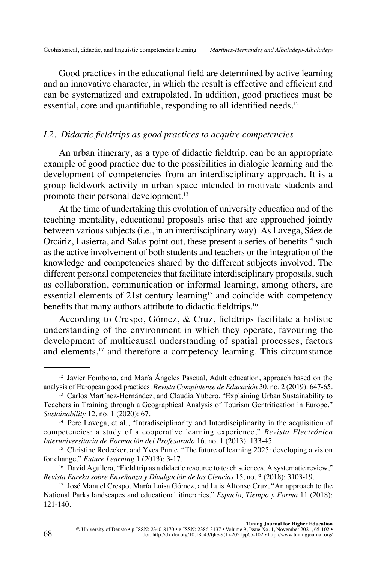Good practices in the educational field are determined by active learning and an innovative character, in which the result is effective and efficient and can be systematized and extrapolated. In addition, good practices must be essential, core and quantifiable, responding to all identified needs.<sup>12</sup>

## *I.2. Didactic fieldtrips as good practices to acquire competencies*

An urban itinerary, as a type of didactic fieldtrip, can be an appropriate example of good practice due to the possibilities in dialogic learning and the development of competencies from an interdisciplinary approach. It is a group fieldwork activity in urban space intended to motivate students and promote their personal development.13

At the time of undertaking this evolution of university education and of the teaching mentality, educational proposals arise that are approached jointly between various subjects (i.e., in an interdisciplinary way). As Lavega, Sáez de Orcáriz, Lasierra, and Salas point out, these present a series of benefits<sup>14</sup> such as the active involvement of both students and teachers or the integration of the knowledge and competencies shared by the different subjects involved. The different personal competencies that facilitate interdisciplinary proposals, such as collaboration, communication or informal learning, among others, are essential elements of  $21$ st century learning<sup>15</sup> and coincide with competency benefits that many authors attribute to didactic fieldtrips.<sup>16</sup>

According to Crespo, Gómez, & Cruz, fieldtrips facilitate a holistic understanding of the environment in which they operate, favouring the development of multicausal understanding of spatial processes, factors and elements,<sup>17</sup> and therefore a competency learning. This circumstance

<sup>12</sup> Javier Fombona, and María Ángeles Pascual, Adult education, approach based on the analysis of European good practices. *Revista Complutense de Educación* 30, no. 2 (2019): 647-65.

<sup>&</sup>lt;sup>13</sup> Carlos Martínez-Hernández, and Claudia Yubero, "Explaining Urban Sustainability to Teachers in Training through a Geographical Analysis of Tourism Gentrification in Europe," *Sustainability* 12, no. 1 (2020): 67.

<sup>14</sup> Pere Lavega, et al., "Intradisciplinarity and Interdisciplinarity in the acquisition of competencies: a study of a cooperative learning experience," *Revista Electrónica Interuniversitaria de Formación del Profesorado* 16, no. 1 (2013): 133-45.

<sup>&</sup>lt;sup>15</sup> Christine Redecker, and Yves Punie, "The future of learning 2025: developing a vision for change," *Future Learning* 1 (2013): 3-17.

<sup>&</sup>lt;sup>16</sup> David Aguilera, "Field trip as a didactic resource to teach sciences. A systematic review," *Revista Eureka sobre Enseñanza y Divulgación de las Ciencias* 15, no. 3 (2018): 3103-19.

<sup>17</sup> José Manuel Crespo, María Luisa Gómez, and Luis Alfonso Cruz, "An approach to the National Parks landscapes and educational itineraries," *Espacio, Tiempo y Forma* 11 (2018): 121-140.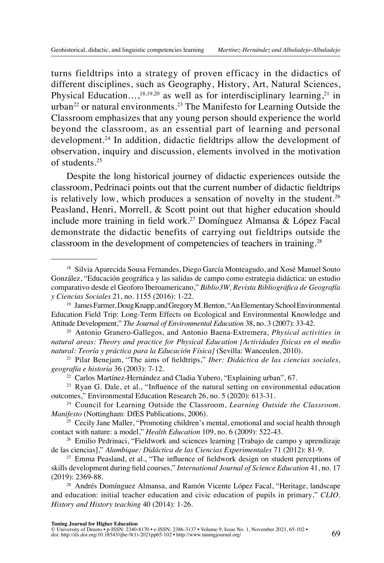turns fieldtrips into a strategy of proven efficacy in the didactics of different disciplines, such as Geography, History, Art, Natural Sciences, Physical Education...,<sup>18,19,20</sup> as well as for interdisciplinary learning,<sup>21</sup> in urban<sup>22</sup> or natural environments.<sup>23</sup> The Manifesto for Learning Outside the Classroom emphasizes that any young person should experience the world beyond the classroom, as an essential part of learning and personal development.24 In addition, didactic fieldtrips allow the development of observation, inquiry and discussion, elements involved in the motivation of students.25

Despite the long historical journey of didactic experiences outside the classroom, Pedrinaci points out that the current number of didactic fieldtrips is relatively low, which produces a sensation of novelty in the student.<sup>26</sup> Peasland, Henri, Morrell, & Scott point out that higher education should include more training in field work.<sup>27</sup> Domínguez Almansa & López Facal demonstrate the didactic benefits of carrying out fieldtrips outside the classroom in the development of competencies of teachers in training.<sup>28</sup>

<sup>&</sup>lt;sup>18</sup> Silvia Aparecida Sousa Fernandes, Diego García Monteagudo, and Xosé Manuel Souto González, "Educación geográfica y las salidas de campo como estrategia didáctica: un estudio comparativo desde el Geoforo Iberoamericano," *Biblio3W, Revista Bibliográfica de Geografía y Ciencias Sociales* 21, no. 1155 (2016): 1-22.

<sup>19</sup> James Farmer, Doug Knapp, and Gregory M. Benton, "An Elementary School Environmental Education Field Trip: Long-Term Effects on Ecological and Environmental Knowledge and Attitude Development," *The Journal of Environmental Education* 38, no. 3 (2007): 33-42.

<sup>20</sup> Antonio Granero-Gallegos, and Antonio Baena-Extremera, *Physical activities in natural areas: Theory and practice for Physical Education [Actividades físicas en el medio natural: Teoría y práctica para la Educación Física]* (Sevilla: Wanceulen, 2010).

<sup>21</sup> Pilar Benejam, "The aims of fieldtrips," *Iber: Didáctica de las ciencias sociales, geografía e historia* 36 (2003): 7-12.

<sup>22</sup> Carlos Martínez-Hernández and Cladia Yubero, "Explaining urban", 67.

<sup>&</sup>lt;sup>23</sup> Ryan G. Dale, et al., "Influence of the natural setting on environmental education outcomes," Environmental Education Research 26, no. 5 (2020): 613-31.

<sup>24</sup> Council for Learning Outside the Classroom, *Learning Outside the Classroom. Manifesto* (Nottingham: DfES Publications, 2006).

 $25$  Cecily Jane Maller, "Promoting children's mental, emotional and social health through contact with nature: a model," *Health Education* 109, no. 6 (2009): 522-43.

<sup>26</sup> Emilio Pedrinaci, "Fieldwork and sciences learning [Trabajo de campo y aprendizaje de las ciencias]," *Alambique: Didáctica de las Ciencias Experimentales* 71 (2012): 81-9.

<sup>27</sup> Emma Peasland, et al., "The influence of fieldwork design on student perceptions of skills development during field courses," *International Journal of Science Education* 41, no. 17 (2019): 2369-88.

<sup>&</sup>lt;sup>28</sup> Andrés Domínguez Almansa, and Ramón Vicente López Facal, "Heritage, landscape and education: initial teacher education and civic education of pupils in primary," *CLIO. History and History teaching* 40 (2014): 1-26.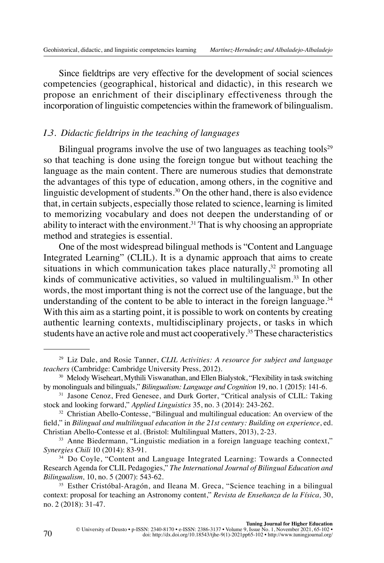Since fieldtrips are very effective for the development of social sciences competencies (geographical, historical and didactic), in this research we propose an enrichment of their disciplinary effectiveness through the incorporation of linguistic competencies within the framework of bilingualism.

## *I.3. Didactic fieldtrips in the teaching of languages*

Bilingual programs involve the use of two languages as teaching tools $2^9$ so that teaching is done using the foreign tongue but without teaching the language as the main content. There are numerous studies that demonstrate the advantages of this type of education, among others, in the cognitive and linguistic development of students.<sup>30</sup> On the other hand, there is also evidence that, in certain subjects, especially those related to science, learning is limited to memorizing vocabulary and does not deepen the understanding of or ability to interact with the environment.<sup>31</sup> That is why choosing an appropriate method and strategies is essential.

One of the most widespread bilingual methods is "Content and Language Integrated Learning" (CLIL). It is a dynamic approach that aims to create situations in which communication takes place naturally, $32$  promoting all kinds of communicative activities, so valued in multilingualism.<sup>33</sup> In other words, the most important thing is not the correct use of the language, but the understanding of the content to be able to interact in the foreign language. $34$ With this aim as a starting point, it is possible to work on contents by creating authentic learning contexts, multidisciplinary projects, or tasks in which students have an active role and must act cooperatively.35 These characteristics

<sup>29</sup> Liz Dale, and Rosie Tanner, *CLIL Activities: A resource for subject and language teachers* (Cambridge: Cambridge University Press, 2012).

<sup>&</sup>lt;sup>30</sup> Melody Wiseheart, Mythili Viswanathan, and Ellen Bialystok, "Flexibility in task switching by monolinguals and bilinguals," *Bilingualism: Language and Cognition* 19, no. 1 (2015): 141-6.

<sup>&</sup>lt;sup>31</sup> Jasone Cenoz, Fred Genesee, and Durk Gorter, "Critical analysis of CLIL: Taking stock and looking forward," *Applied Linguistics* 35, no. 3 (2014): 243-262.

<sup>&</sup>lt;sup>32</sup> Christian Abello-Contesse, "Bilingual and multilingual education: An overview of the field," in *Bilingual and multilingual education in the 21st century: Building on experience*, ed. Christian Abello-Contesse et al. (Bristol: Multilingual Matters, 2013), 2-23.

<sup>&</sup>lt;sup>33</sup> Anne Biedermann, "Linguistic mediation in a foreign language teaching context," *Synergies Chili* 10 (2014): 83-91.

<sup>34</sup> Do Coyle, "Content and Language Integrated Learning: Towards a Connected Research Agenda for CLIL Pedagogies," *The International Journal of Bilingual Education and Bilingualism,* 10, no. 5 (2007): 543-62.

<sup>&</sup>lt;sup>35</sup> Esther Cristóbal-Aragón, and Ileana M. Greca, "Science teaching in a bilingual context: proposal for teaching an Astronomy content," *Revista de Enseñanza de la Física,* 30, no. 2 (2018): 31-47.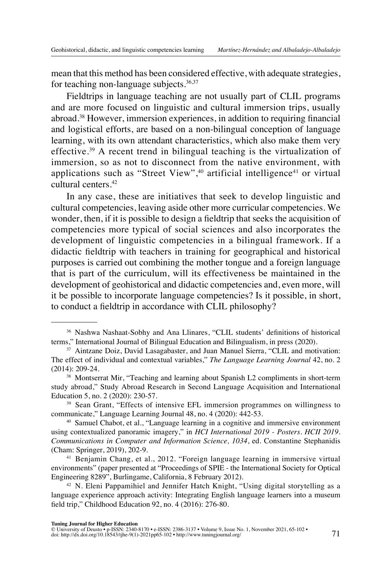mean that this method has been considered effective, with adequate strategies, for teaching non-language subjects. $36,37$ 

Fieldtrips in language teaching are not usually part of CLIL programs and are more focused on linguistic and cultural immersion trips, usually abroad.38 However, immersion experiences, in addition to requiring financial and logistical efforts, are based on a non-bilingual conception of language learning, with its own attendant characteristics, which also make them very effective.39 A recent trend in bilingual teaching is the virtualization of immersion, so as not to disconnect from the native environment, with applications such as "Street View", $40$  artificial intelligence $41$  or virtual cultural centers.42

In any case, these are initiatives that seek to develop linguistic and cultural competencies, leaving aside other more curricular competencies. We wonder, then, if it is possible to design a fieldtrip that seeks the acquisition of competencies more typical of social sciences and also incorporates the development of linguistic competencies in a bilingual framework. If a didactic fieldtrip with teachers in training for geographical and historical purposes is carried out combining the mother tongue and a foreign language that is part of the curriculum, will its effectiveness be maintained in the development of geohistorical and didactic competencies and, even more, will it be possible to incorporate language competencies? Is it possible, in short, to conduct a fieldtrip in accordance with CLIL philosophy?

<sup>40</sup> Samuel Chabot, et al., "Language learning in a cognitive and immersive environment using contextualized panoramic imagery," in *HCI International 2019 - Posters. HCII 2019. Communications in Computer and Information Science, 1034*, ed. Constantine Stephanidis (Cham: Springer, 2019), 202-9.

<sup>41</sup> Benjamin Chang, et al., 2012. "Foreign language learning in immersive virtual environments" (paper presented at "Proceedings of SPIE - the International Society for Optical Engineering 8289", Burlingame, California, 8 February 2012).

<sup>42</sup> N. Eleni Pappamihiel and Jennifer Hatch Knight, "Using digital storytelling as a language experience approach activity: Integrating English language learners into a museum field trip," Childhood Education 92, no. 4 (2016): 276-80.

<sup>36</sup> Nashwa Nashaat-Sobhy and Ana Llinares, "CLIL students' definitions of historical terms," International Journal of Bilingual Education and Bilingualism, in press (2020).

<sup>37</sup> Aintzane Doiz, David Lasagabaster, and Juan Manuel Sierra, "CLIL and motivation: The effect of individual and contextual variables," *The Language Learning Journal* 42, no. 2 (2014): 209-24.

<sup>38</sup> Montserrat Mir, "Teaching and learning about Spanish L2 compliments in short-term study abroad," Study Abroad Research in Second Language Acquisition and International Education 5, no. 2 (2020): 230-57.

<sup>&</sup>lt;sup>39</sup> Sean Grant, "Effects of intensive EFL immersion programmes on willingness to communicate," Language Learning Journal 48, no. 4 (2020): 442-53.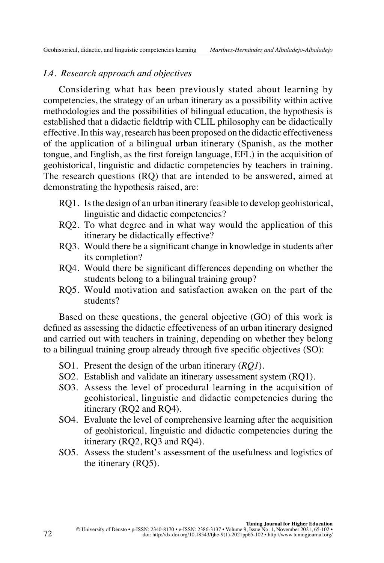# *I.4. Research approach and objectives*

Considering what has been previously stated about learning by competencies, the strategy of an urban itinerary as a possibility within active methodologies and the possibilities of bilingual education, the hypothesis is established that a didactic fieldtrip with CLIL philosophy can be didactically effective. In this way, research has been proposed on the didactic effectiveness of the application of a bilingual urban itinerary (Spanish, as the mother tongue, and English, as the first foreign language, EFL) in the acquisition of geohistorical, linguistic and didactic competencies by teachers in training. The research questions (RQ) that are intended to be answered, aimed at demonstrating the hypothesis raised, are:

- RQ1. Is the design of an urban itinerary feasible to develop geohistorical, linguistic and didactic competencies?
- RQ2. To what degree and in what way would the application of this itinerary be didactically effective?
- RQ3. Would there be a significant change in knowledge in students after its completion?
- RQ4. Would there be significant differences depending on whether the students belong to a bilingual training group?
- RQ5. Would motivation and satisfaction awaken on the part of the students?

Based on these questions, the general objective (GO) of this work is defined as assessing the didactic effectiveness of an urban itinerary designed and carried out with teachers in training, depending on whether they belong to a bilingual training group already through five specific objectives (SO):

- SO1. Present the design of the urban itinerary (*RQ1*).
- SO2. Establish and validate an itinerary assessment system (RQ1).
- SO3. Assess the level of procedural learning in the acquisition of geohistorical, linguistic and didactic competencies during the itinerary (RQ2 and RQ4).
- SO4. Evaluate the level of comprehensive learning after the acquisition of geohistorical, linguistic and didactic competencies during the itinerary (RQ2, RQ3 and RQ4).
- SO5. Assess the student's assessment of the usefulness and logistics of the itinerary (RQ5).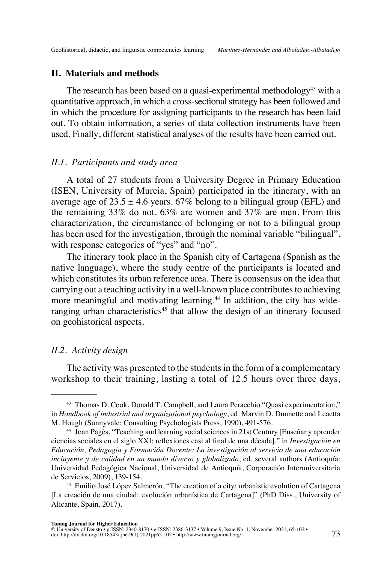#### **II. Materials and methods**

The research has been based on a quasi-experimental methodology<sup>43</sup> with a quantitative approach, in which a cross-sectional strategy has been followed and in which the procedure for assigning participants to the research has been laid out. To obtain information, a series of data collection instruments have been used. Finally, different statistical analyses of the results have been carried out.

#### *II.1. Participants and study area*

A total of 27 students from a University Degree in Primary Education (ISEN, University of Murcia, Spain) participated in the itinerary, with an average age of  $23.5 \pm 4.6$  years. 67% belong to a bilingual group (EFL) and the remaining 33% do not. 63% are women and 37% are men. From this characterization, the circumstance of belonging or not to a bilingual group has been used for the investigation, through the nominal variable "bilingual", with response categories of "yes" and "no".

The itinerary took place in the Spanish city of Cartagena (Spanish as the native language), where the study centre of the participants is located and which constitutes its urban reference area. There is consensus on the idea that carrying out a teaching activity in a well-known place contributes to achieving more meaningful and motivating learning.<sup>44</sup> In addition, the city has wideranging urban characteristics<sup>45</sup> that allow the design of an itinerary focused on geohistorical aspects.

#### *II.2. Activity design*

The activity was presented to the students in the form of a complementary workshop to their training, lasting a total of 12.5 hours over three days,

<sup>43</sup> Thomas D. Cook, Donald T. Campbell, and Laura Peracchio "Quasi experimentation," in *Handbook of industrial and organizational psychology*, ed. Marvin D. Dunnette and Leaetta M. Hough (Sunnyvale: Consulting Psychologists Press, 1990), 491-576.

<sup>44</sup> Joan Pagès, "Teaching and learning social sciences in 21st Century [Enseñar y aprender ciencias sociales en el siglo XXI: reflexiones casi al final de una década]," in *Investigación en Educación, Pedagogía y Formación Docente: La investigación al servicio de una educación incluyente y de calidad en un mundo diverso y globalizado*, ed. several authors (Antioquía: Universidad Pedagógica Nacional, Universidad de Antioquía, Corporación Interuniversitaria de Servicios, 2009), 139-154.

<sup>45</sup> Emilio José López Salmerón, "The creation of a city: urbanistic evolution of Cartagena [La creación de una ciudad: evolución urbanística de Cartagena]" (PhD Diss., University of Alicante, Spain, 2017).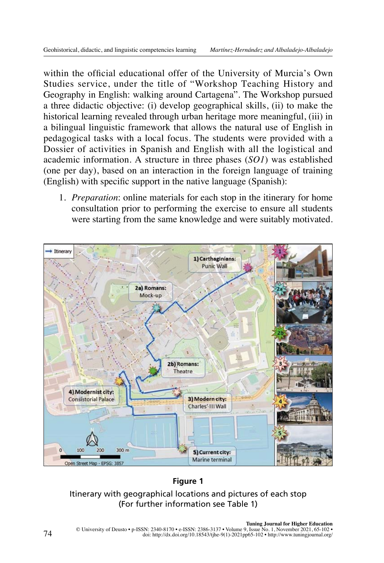within the official educational offer of the University of Murcia's Own Studies service, under the title of "Workshop Teaching History and Geography in English: walking around Cartagena". The Workshop pursued a three didactic objective: (i) develop geographical skills, (ii) to make the historical learning revealed through urban heritage more meaningful, (iii) in a bilingual linguistic framework that allows the natural use of English in pedagogical tasks with a local focus. The students were provided with a Dossier of activities in Spanish and English with all the logistical and academic information. A structure in three phases (*SO1*) was established (one per day), based on an interaction in the foreign language of training (English) with specific support in the native language (Spanish):

1. *Preparation*: online materials for each stop in the itinerary for home consultation prior to performing the exercise to ensure all students were starting from the same knowledge and were suitably motivated.



#### **Figure 1**

# Itinerary with geographical locations and pictures of each stop (For further information see Table 1)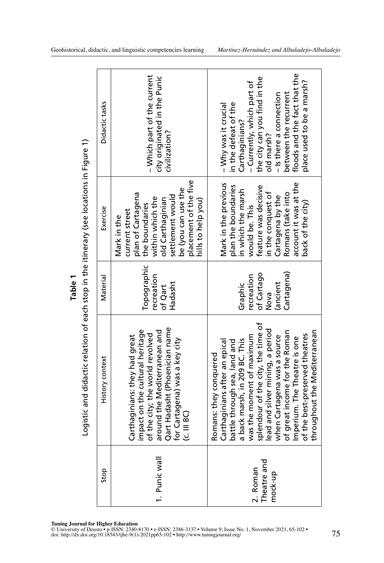|        |  |     | Tuning Journal for Higher Education |                       |  |
|--------|--|-----|-------------------------------------|-----------------------|--|
| $-77.$ |  | . . |                                     | <b>TOONT AA 10 01</b> |  |

**Tuning Journal for Higher Education** © University of Deusto • p-ISSN: 2340-8170 • e-ISSN: 2386-3137 • Volume 9, Issue No. 1, November 2021, 65-102 •

|                                                                                          | Didactic tasks  | - Which part of the current<br>city originated in the Punic<br>civilization?                                                                                                                                         | floods and the fact that the<br>the city can you find in the<br>place used to be a marsh?<br>- Currently, which part of<br>between the recurrent<br>- Is there a connection<br>in the defeat of the<br>- Why was it crucial<br>Carthaginians?<br>old marsh?                                                                                                                                      |
|------------------------------------------------------------------------------------------|-----------------|----------------------------------------------------------------------------------------------------------------------------------------------------------------------------------------------------------------------|--------------------------------------------------------------------------------------------------------------------------------------------------------------------------------------------------------------------------------------------------------------------------------------------------------------------------------------------------------------------------------------------------|
|                                                                                          | Exercise        | placement of the five<br>be (you can use the<br>plan of Cartagena<br>settlement would<br>within which the<br>old Carthaginian<br>hills to help you)<br>the boundaries<br>current street<br>Mark in the               | account it was at the<br>Mark in the previous<br>plan the boundaries<br>feature was decisive<br>in which the marsh<br>Romans (take into<br>in the conquest of<br>Cartagena by the<br>back of the city)<br>would be. This                                                                                                                                                                         |
| Table <sub>1</sub>                                                                       | Material        | Topographic<br>recreation<br>Hadasht<br>of Qart                                                                                                                                                                      | Cartagena)<br>of Cartago<br>recreation<br>ancient)<br>Graphic<br>Nova                                                                                                                                                                                                                                                                                                                            |
| Logistic and didactic relation of each stop in the itinerary (see locations in Figure 1) | History context | Qart Hadasht (Phoenician name<br>impact on the cultural heritage<br>around the Mediterranean and<br>of the city; the world revolved<br>Carthaginians: they had great<br>for Cartagena) was a key city<br>(c. III BC) | splendour of the city, the time of<br>lead and silver mining, a period<br>throughout the Mediterranean<br>of great income for the Roman<br>of the best-preserved theatres<br>was the moment of maximum<br>when Cartagena was a source<br>Imperium. The Theatre is one<br>a back marsh, in 209 BC. This<br>battle through sea, land and<br>Carthaginians after an epica<br>Romans: they conquered |
|                                                                                          | Stop            | 1. Punic wall                                                                                                                                                                                                        | 짇<br>2. Roman<br>Theatre an<br>nock-up                                                                                                                                                                                                                                                                                                                                                           |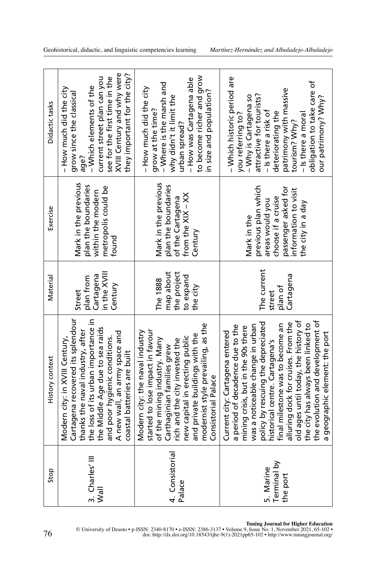| Didactic tasks  | XVIII Century and why were<br>they important for the city?<br>current street plan can you<br>see for the first time in the<br>- Which elements of the<br>– How much did the city $-$<br>grow since the classical<br>age?                                                           | to become richer and grow<br>- How was Cartagena able<br>- Where is the marsh and<br>- How much did the city<br>in size and population?<br>why didn't it limit the<br>grow at the time?<br>urban spread?                                                                                             | - Which historic period are<br>obligation to take care of<br>patrimony with massive<br>attractive for tourists?<br>- Why is Cartagena so<br>our patrimony? Why?<br>- Is there a risk of<br>deteriorating the<br>you referring to?<br>- Is there a moral<br>tourism? Why?                                                                                                                                                                              |
|-----------------|------------------------------------------------------------------------------------------------------------------------------------------------------------------------------------------------------------------------------------------------------------------------------------|------------------------------------------------------------------------------------------------------------------------------------------------------------------------------------------------------------------------------------------------------------------------------------------------------|-------------------------------------------------------------------------------------------------------------------------------------------------------------------------------------------------------------------------------------------------------------------------------------------------------------------------------------------------------------------------------------------------------------------------------------------------------|
| Exercise        | Mark in the previous<br>plan the boundaries<br>metropolis could be<br>within the modern<br>found                                                                                                                                                                                   | Mark in the previous<br>plan the boundaries<br>from the XIX - XX<br>of the Cartagena<br>Century                                                                                                                                                                                                      | previous plan which<br>passenger asked for<br>information to visit<br>choose if a cruise<br>areas would you<br>the city in a day<br>Mark in the                                                                                                                                                                                                                                                                                                       |
| Material        | in the XVIII<br>Cartagena<br>plan from<br>Century<br>Street                                                                                                                                                                                                                        | map about<br>the project<br>to expand<br>The 1888<br>the city                                                                                                                                                                                                                                        | The current<br>Cartagena<br>plan of<br>street                                                                                                                                                                                                                                                                                                                                                                                                         |
| History context | Cartagena recovered its splendour<br>the loss of its urban importance in<br>the Middle Age due to sea raids<br>thanks the naval industry, after<br>A new wall, an army space and<br>and poor hygienic conditions.<br>Modern city: in XVIII Century,<br>coastal batteries are built | modernist style prevailing, as the<br>started to lose impact in favour<br>Modern city: the naval industry<br>and private buildings with the<br>new capital in erecting public<br>of the mining industry. Many<br>rich and the city invested the<br>Carthaginian families grew<br>Consistorial Palace | old ages until today, the history of<br>the evolution and development of<br>policy by rescuing the depreciated<br>alluring dock for cruises. From the<br>the city has always been linked to<br>a period of decadence due to the<br>was a noticeable change in urban<br>final milestone was to become an<br>mining crisis, but in the 90s there<br>Current city: Cartagena entered<br>a geographic element: the port<br>historical centre. Cartagena's |
| Stop            | 3. Charles' III<br>Wall                                                                                                                                                                                                                                                            | 4. Consistorial<br>Palace                                                                                                                                                                                                                                                                            | Terminal by<br>5. Marine<br>the port                                                                                                                                                                                                                                                                                                                                                                                                                  |

T**uning Journal for Higher Education**<br>© University of Deusto • p-ISSN: 2340-8170 • e-ISSN: 2386-3137 • Volume 9, Issue No. 1, November 2021, 65-102<br>doi: [http://dx.doi.org/10.18543/tjhe-9\(1\)-2021pp65-102](http://dx.doi.org/10.18543/tjhe-9(1)-2021pp65-102) • http://www.tunin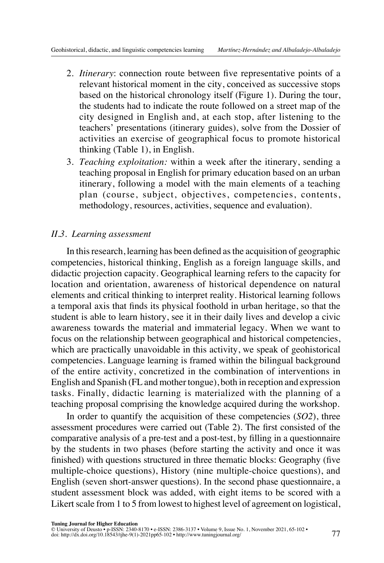- 2. *Itinerary*: connection route between five representative points of a relevant historical moment in the city, conceived as successive stops based on the historical chronology itself (Figure 1). During the tour, the students had to indicate the route followed on a street map of the city designed in English and, at each stop, after listening to the teachers' presentations (itinerary guides), solve from the Dossier of activities an exercise of geographical focus to promote historical thinking (Table 1), in English.
- 3. *Teaching exploitation:* within a week after the itinerary, sending a teaching proposal in English for primary education based on an urban itinerary, following a model with the main elements of a teaching plan (course, subject, objectives, competencies, contents, methodology, resources, activities, sequence and evaluation).

# *II.3. Learning assessment*

In this research, learning has been defined as the acquisition of geographic competencies, historical thinking, English as a foreign language skills, and didactic projection capacity. Geographical learning refers to the capacity for location and orientation, awareness of historical dependence on natural elements and critical thinking to interpret reality. Historical learning follows a temporal axis that finds its physical foothold in urban heritage, so that the student is able to learn history, see it in their daily lives and develop a civic awareness towards the material and immaterial legacy. When we want to focus on the relationship between geographical and historical competencies, which are practically unavoidable in this activity, we speak of geohistorical competencies. Language learning is framed within the bilingual background of the entire activity, concretized in the combination of interventions in English and Spanish (FL and mother tongue), both in reception and expression tasks. Finally, didactic learning is materialized with the planning of a teaching proposal comprising the knowledge acquired during the workshop.

In order to quantify the acquisition of these competencies (*SO2*), three assessment procedures were carried out (Table 2). The first consisted of the comparative analysis of a pre-test and a post-test, by filling in a questionnaire by the students in two phases (before starting the activity and once it was finished) with questions structured in three thematic blocks: Geography (five multiple-choice questions), History (nine multiple-choice questions), and English (seven short-answer questions). In the second phase questionnaire, a student assessment block was added, with eight items to be scored with a Likert scale from 1 to 5 from lowest to highest level of agreement on logistical,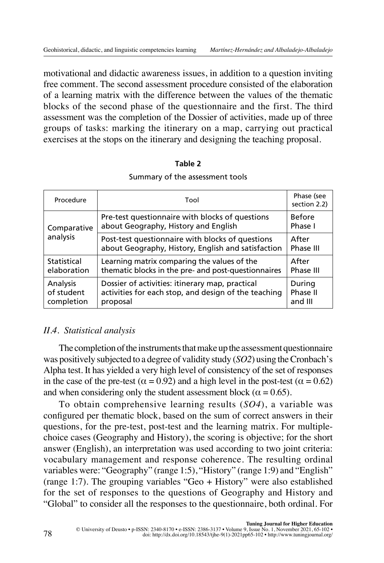motivational and didactic awareness issues, in addition to a question inviting free comment. The second assessment procedure consisted of the elaboration of a learning matrix with the difference between the values of the thematic blocks of the second phase of the questionnaire and the first. The third assessment was the completion of the Dossier of activities, made up of three groups of tasks: marking the itinerary on a map, carrying out practical exercises at the stops on the itinerary and designing the teaching proposal.

| Procedure                            | Tool                                                                                                                |                               |
|--------------------------------------|---------------------------------------------------------------------------------------------------------------------|-------------------------------|
| Comparative                          | Pre-test questionnaire with blocks of questions<br>about Geography, History and English                             | <b>Before</b><br>Phase I      |
| analysis                             | Post-test questionnaire with blocks of questions<br>about Geography, History, English and satisfaction              | After<br>Phase III            |
| Statistical<br>elaboration           | Learning matrix comparing the values of the<br>thematic blocks in the pre- and post-questionnaires                  | After<br>Phase III            |
| Analysis<br>of student<br>completion | Dossier of activities: itinerary map, practical<br>activities for each stop, and design of the teaching<br>proposal | During<br>Phase II<br>and III |

# **Table 2** Summary of the assessment tools

# *II.4. Statistical analysis*

The completion of the instruments that make up the assessment questionnaire was positively subjected to a degree of validity study (*SO2*) using the Cronbach's Alpha test. It has yielded a very high level of consistency of the set of responses in the case of the pre-test ( $\alpha = 0.92$ ) and a high level in the post-test ( $\alpha = 0.62$ ) and when considering only the student assessment block ( $\alpha = 0.65$ ).

To obtain comprehensive learning results (*SO4*), a variable was configured per thematic block, based on the sum of correct answers in their questions, for the pre-test, post-test and the learning matrix. For multiplechoice cases (Geography and History), the scoring is objective; for the short answer (English), an interpretation was used according to two joint criteria: vocabulary management and response coherence. The resulting ordinal variables were: "Geography" (range 1:5), "History" (range 1:9) and "English" (range 1:7). The grouping variables "Geo + History" were also established for the set of responses to the questions of Geography and History and "Global" to consider all the responses to the questionnaire, both ordinal. For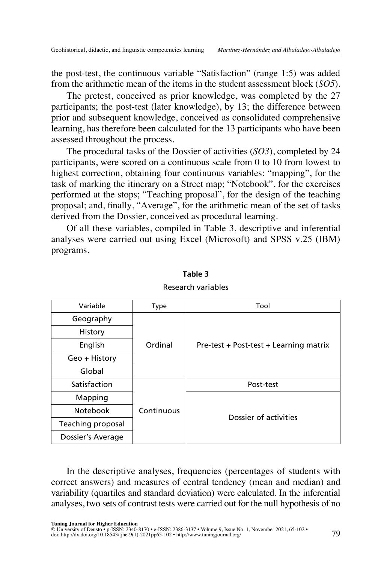the post-test, the continuous variable "Satisfaction" (range 1:5) was added from the arithmetic mean of the items in the student assessment block (*SO5*).

The pretest, conceived as prior knowledge, was completed by the 27 participants; the post-test (later knowledge), by 13; the difference between prior and subsequent knowledge, conceived as consolidated comprehensive learning, has therefore been calculated for the 13 participants who have been assessed throughout the process.

The procedural tasks of the Dossier of activities (*SO3*), completed by 24 participants, were scored on a continuous scale from 0 to 10 from lowest to highest correction, obtaining four continuous variables: "mapping", for the task of marking the itinerary on a Street map; "Notebook", for the exercises performed at the stops; "Teaching proposal", for the design of the teaching proposal; and, finally, "Average", for the arithmetic mean of the set of tasks derived from the Dossier, conceived as procedural learning.

Of all these variables, compiled in Table 3, descriptive and inferential analyses were carried out using Excel (Microsoft) and SPSS v.25 (IBM) programs.

| Variable          | Type       | Tool                                   |  |  |  |  |
|-------------------|------------|----------------------------------------|--|--|--|--|
| Geography         |            |                                        |  |  |  |  |
| History           |            |                                        |  |  |  |  |
| English           | Ordinal    | Pre-test + Post-test + Learning matrix |  |  |  |  |
| Geo + History     |            |                                        |  |  |  |  |
| Global            |            |                                        |  |  |  |  |
| Satisfaction      |            | Post-test                              |  |  |  |  |
| Mapping           |            |                                        |  |  |  |  |
| <b>Notebook</b>   | Continuous | Dossier of activities                  |  |  |  |  |
| Teaching proposal |            |                                        |  |  |  |  |
| Dossier's Average |            |                                        |  |  |  |  |

**Table 3** Research variables

In the descriptive analyses, frequencies (percentages of students with correct answers) and measures of central tendency (mean and median) and variability (quartiles and standard deviation) were calculated. In the inferential analyses, two sets of contrast tests were carried out for the null hypothesis of no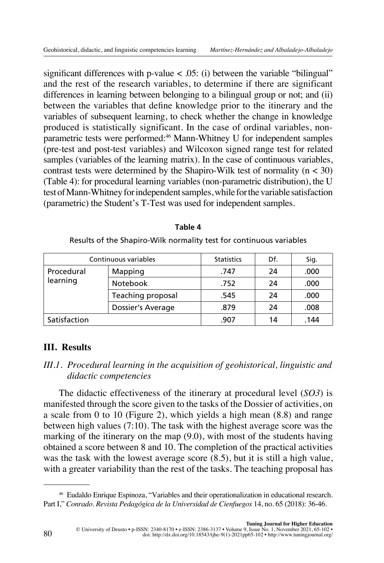significant differences with p-value  $\langle$  0.05: (i) between the variable "bilingual" and the rest of the research variables, to determine if there are significant differences in learning between belonging to a bilingual group or not; and (ii) between the variables that define knowledge prior to the itinerary and the variables of subsequent learning, to check whether the change in knowledge produced is statistically significant. In the case of ordinal variables, nonparametric tests were performed:46 Mann-Whitney U for independent samples (pre-test and post-test variables) and Wilcoxon signed range test for related samples (variables of the learning matrix). In the case of continuous variables, contrast tests were determined by the Shapiro-Wilk test of normality  $(n < 30)$ (Table 4): for procedural learning variables (non-parametric distribution), the U test of Mann-Whitney for independent samples, while for the variable satisfaction (parametric) the Student's T-Test was used for independent samples.

| Continuous variables | <b>Statistics</b> | Df.  | Sig. |      |
|----------------------|-------------------|------|------|------|
| Procedural           | Mapping           | .747 | 24   | .000 |
| learning             | Notebook          | .752 | 24   | .000 |
|                      | Teaching proposal | .545 | 24   | .000 |
|                      | Dossier's Average | .879 | 24   | .008 |
| Satisfaction         |                   | .907 | 14   | .144 |

| × | ۰.<br>۰. |  |
|---|----------|--|
|   |          |  |

Results of the Shapiro-Wilk normality test for continuous variables

# **III. Results**

# *III.1. Procedural learning in the acquisition of geohistorical, linguistic and didactic competencies*

The didactic effectiveness of the itinerary at procedural level (*SO3*) is manifested through the score given to the tasks of the Dossier of activities, on a scale from 0 to 10 (Figure 2), which yields a high mean (8.8) and range between high values (7:10). The task with the highest average score was the marking of the itinerary on the map (9.0), with most of the students having obtained a score between 8 and 10. The completion of the practical activities was the task with the lowest average score (8.5), but it is still a high value, with a greater variability than the rest of the tasks. The teaching proposal has

<sup>46</sup> Eudaldo Enrique Espinoza, "Variables and their operationalization in educational research. Part I," *Conrado. Revista Pedagógica de la Universidad de Cienfuegos* 14, no. 65 (2018): 36-46.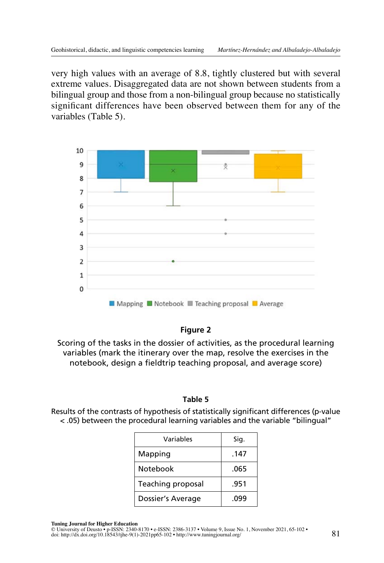very high values with an average of 8.8, tightly clustered but with several extreme values. Disaggregated data are not shown between students from a bilingual group and those from a non-bilingual group because no statistically significant differences have been observed between them for any of the variables (Table 5).



#### **Figure 2**

Scoring of the tasks in the dossier of activities, as the procedural learning variables (mark the itinerary over the map, resolve the exercises in the notebook, design a fieldtrip teaching proposal, and average score)

#### **Table 5**

Results of the contrasts of hypothesis of statistically significant differences (p-value < .05) between the procedural learning variables and the variable "bilingual"

| Variables         | Sig. |
|-------------------|------|
| Mapping           | .147 |
| <b>Notebook</b>   | .065 |
| Teaching proposal | .951 |
| Dossier's Average | .099 |

**Tuning Journal for Higher Education**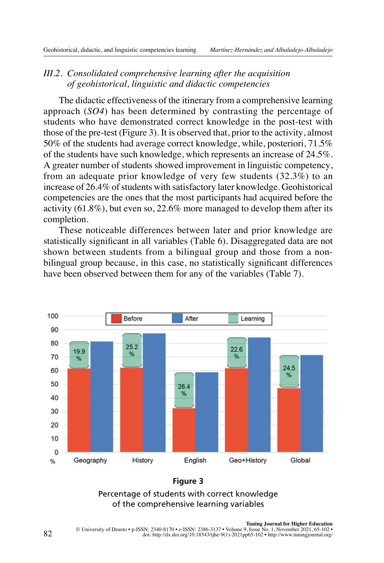# *III.2. Consolidated comprehensive learning after the acquisition of geohistorical, linguistic and didactic competencies*

The didactic effectiveness of the itinerary from a comprehensive learning approach (*SO4*) has been determined by contrasting the percentage of students who have demonstrated correct knowledge in the post-test with those of the pre-test (Figure 3). It is observed that, prior to the activity, almost 50% of the students had average correct knowledge, while, posteriori, 71.5% of the students have such knowledge, which represents an increase of 24.5%. A greater number of students showed improvement in linguistic competency, from an adequate prior knowledge of very few students (32.3%) to an increase of 26.4% of students with satisfactory later knowledge. Geohistorical competencies are the ones that the most participants had acquired before the activity (61.8%), but even so, 22.6% more managed to develop them after its completion.

These noticeable differences between later and prior knowledge are statistically significant in all variables (Table 6). Disaggregated data are not shown between students from a bilingual group and those from a nonbilingual group because, in this case, no statistically significant differences have been observed between them for any of the variables (Table 7).



#### **Figure 3**

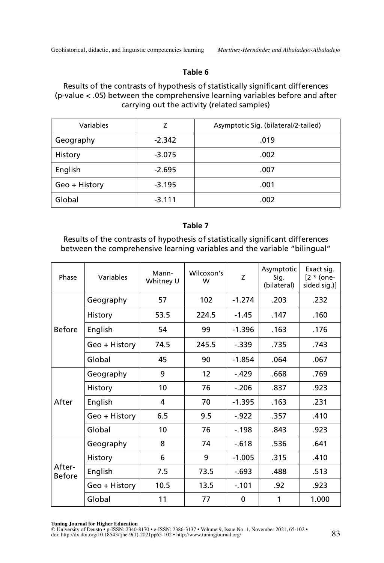#### **Table 6**

#### Results of the contrasts of hypothesis of statistically significant differences (p-value < .05) between the comprehensive learning variables before and after carrying out the activity (related samples)

| Variables     | Z        | Asymptotic Sig. (bilateral/2-tailed) |  |  |
|---------------|----------|--------------------------------------|--|--|
| Geography     | $-2.342$ | .019                                 |  |  |
| History       | $-3.075$ | .002                                 |  |  |
| English       | $-2.695$ | .007                                 |  |  |
| Geo + History | $-3.195$ | .001                                 |  |  |
| Global        | $-3.111$ | .002                                 |  |  |

## **Table 7**

Results of the contrasts of hypothesis of statistically significant differences between the comprehensive learning variables and the variable "bilingual"

| Phase                   | Variables     | Mann-<br>Whitney U | Wilcoxon's<br>W | Z        | Asymptotic<br>Sig.<br>(bilateral) | Exact sig.<br>$[2 * (one-$<br>sided sig.)] |
|-------------------------|---------------|--------------------|-----------------|----------|-----------------------------------|--------------------------------------------|
|                         | Geography     | 57                 | 102             | $-1.274$ | .203                              | .232                                       |
|                         | History       | 53.5               | 224.5           | $-1.45$  | .147                              | .160                                       |
| <b>Before</b>           | English       | 54                 | 99              | $-1.396$ | .163                              | .176                                       |
|                         | Geo + History | 74.5               | 245.5           | $-.339$  | .735                              | .743                                       |
|                         | Global        | 45                 | 90              | $-1.854$ | .064                              | .067                                       |
|                         | Geography     | 9                  | 12              | $-.429$  | .668                              | .769                                       |
|                         | History       | 10                 | 76              | $-206$   | .837                              | .923                                       |
| After                   | English       | 4                  | 70              | $-1.395$ | .163                              | .231                                       |
|                         | Geo + History | 6.5                | 9.5             | $-922$   | .357                              | .410                                       |
|                         | Global        | 10                 | 76              | $-198$   | .843                              | .923                                       |
| After-<br><b>Before</b> | Geography     | 8                  | 74              | $-.618$  | .536                              | .641                                       |
|                         | History       | 6                  | 9               | $-1.005$ | .315                              | .410                                       |
|                         | English       | 7.5                | 73.5            | $-.693$  | .488                              | .513                                       |
|                         | Geo + History | 10.5               | 13.5            | $-.101$  | .92                               | .923                                       |
|                         | Global        | 11                 | 77              | 0        | 1                                 | 1.000                                      |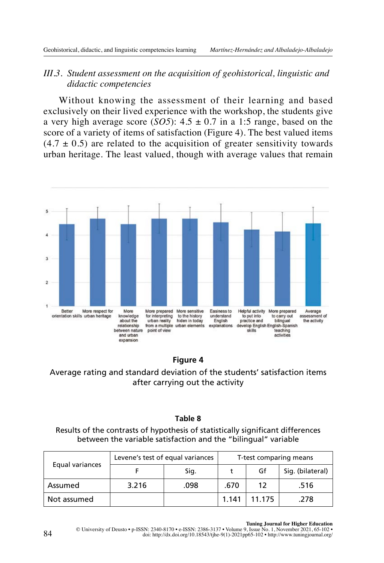# *III.3. Student assessment on the acquisition of geohistorical, linguistic and didactic competencies*

Without knowing the assessment of their learning and based exclusively on their lived experience with the workshop, the students give a very high average score (*SO5*):  $4.5 \pm 0.7$  in a 1:5 range, based on the score of a variety of items of satisfaction (Figure 4). The best valued items  $(4.7 \pm 0.5)$  are related to the acquisition of greater sensitivity towards urban heritage. The least valued, though with average values that remain



**Figure 4**

Average rating and standard deviation of the students' satisfaction items after carrying out the activity

## **Table 8**

Results of the contrasts of hypothesis of statistically significant differences between the variable satisfaction and the "bilingual" variable

| Equal variances | Levene's test of equal variances | T-test comparing means |       |        |                  |
|-----------------|----------------------------------|------------------------|-------|--------|------------------|
|                 |                                  | Sig.                   |       | Gf     | Sig. (bilateral) |
| Assumed         | 3.216                            | .098                   | .670  | 12     | .516             |
| Not assumed     |                                  |                        | 1.141 | 11.175 | .278             |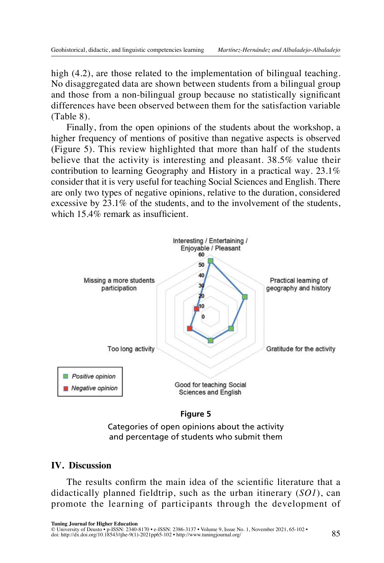high (4.2), are those related to the implementation of bilingual teaching. No disaggregated data are shown between students from a bilingual group and those from a non-bilingual group because no statistically significant differences have been observed between them for the satisfaction variable (Table 8).

Finally, from the open opinions of the students about the workshop, a higher frequency of mentions of positive than negative aspects is observed (Figure 5). This review highlighted that more than half of the students believe that the activity is interesting and pleasant. 38.5% value their contribution to learning Geography and History in a practical way. 23.1% consider that it is very useful for teaching Social Sciences and English. There are only two types of negative opinions, relative to the duration, considered excessive by 23.1% of the students, and to the involvement of the students, which 15.4% remark as insufficient.



#### **Figure 5**

Categories of open opinions about the activity and percentage of students who submit them

## **IV. Discussion**

The results confirm the main idea of the scientific literature that a didactically planned fieldtrip, such as the urban itinerary (*SO1*), can promote the learning of participants through the development of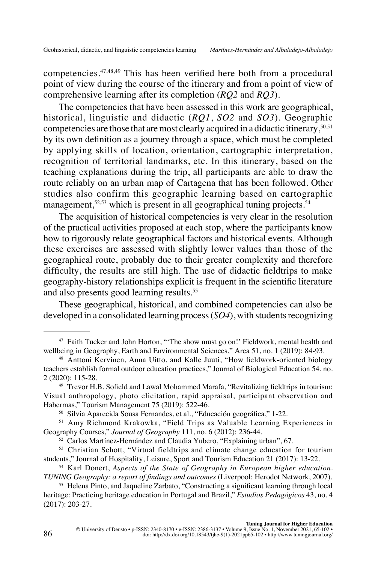competencies.47,48,49 This has been verified here both from a procedural point of view during the course of the itinerary and from a point of view of comprehensive learning after its completion (*RQ2* and *RQ3*).

The competencies that have been assessed in this work are geographical, historical, linguistic and didactic (*RQ1*, *SO2* and *SO3*). Geographic competencies are those that are most clearly acquired in a didactic itinerary,50,51 by its own definition as a journey through a space, which must be completed by applying skills of location, orientation, cartographic interpretation, recognition of territorial landmarks, etc. In this itinerary, based on the teaching explanations during the trip, all participants are able to draw the route reliably on an urban map of Cartagena that has been followed. Other studies also confirm this geographic learning based on cartographic management,<sup>52,53</sup> which is present in all geographical tuning projects.<sup>54</sup>

The acquisition of historical competencies is very clear in the resolution of the practical activities proposed at each stop, where the participants know how to rigorously relate geographical factors and historical events. Although these exercises are assessed with slightly lower values than those of the geographical route, probably due to their greater complexity and therefore difficulty, the results are still high. The use of didactic fieldtrips to make geography-history relationships explicit is frequent in the scientific literature and also presents good learning results.55

These geographical, historical, and combined competencies can also be developed in a consolidated learning process (*SO4*), with students recognizing

<sup>&</sup>lt;sup>47</sup> Faith Tucker and John Horton, "'The show must go on!' Fieldwork, mental health and wellbeing in Geography, Earth and Environmental Sciences," Area 51, no. 1 (2019): 84-93.

<sup>48</sup> Anttoni Kervinen, Anna Uitto, and Kalle Juuti, "How fieldwork-oriented biology teachers establish formal outdoor education practices," Journal of Biological Education 54, no. 2 (2020): 115-28.

<sup>49</sup> Trevor H.B. Sofield and Lawal Mohammed Marafa, "Revitalizing fieldtrips in tourism: Visual anthropology, photo elicitation, rapid appraisal, participant observation and Habermas," Tourism Management 75 (2019): 522-46.

<sup>50</sup> Silvia Aparecida Sousa Fernandes, et al., "Educación geográfica," 1-22.

<sup>&</sup>lt;sup>51</sup> Amy Richmond Krakowka, "Field Trips as Valuable Learning Experiences in Geography Courses," *Journal of Geography* 111, no. 6 (2012): 236-44.

<sup>52</sup> Carlos Martínez-Hernández and Claudia Yubero, "Explaining urban", 67.

<sup>&</sup>lt;sup>53</sup> Christian Schott, "Virtual fieldtrips and climate change education for tourism students," Journal of Hospitality, Leisure, Sport and Tourism Education 21 (2017): 13-22.

<sup>54</sup> Karl Donert, *Aspects of the State of Geography in European higher education. TUNING Geography: a report of findings and outcomes* (Liverpool: Herodot Network, 2007).

<sup>55</sup> Helena Pinto, and Jaqueline Zarbato, "Constructing a significant learning through local heritage: Practicing heritage education in Portugal and Brazil," *Estudios Pedagógicos* 43, no. 4 (2017): 203-27.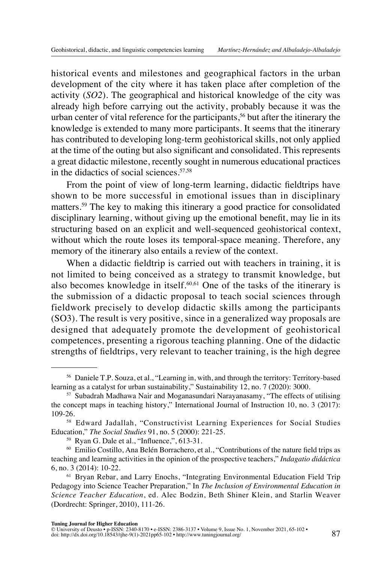historical events and milestones and geographical factors in the urban development of the city where it has taken place after completion of the activity (*SO2*). The geographical and historical knowledge of the city was already high before carrying out the activity, probably because it was the urban center of vital reference for the participants,  $56$  but after the itinerary the knowledge is extended to many more participants. It seems that the itinerary has contributed to developing long-term geohistorical skills, not only applied at the time of the outing but also significant and consolidated. This represents a great didactic milestone, recently sought in numerous educational practices in the didactics of social sciences.<sup>57,58</sup>

From the point of view of long-term learning, didactic fieldtrips have shown to be more successful in emotional issues than in disciplinary matters.59 The key to making this itinerary a good practice for consolidated disciplinary learning, without giving up the emotional benefit, may lie in its structuring based on an explicit and well-sequenced geohistorical context, without which the route loses its temporal-space meaning. Therefore, any memory of the itinerary also entails a review of the context.

When a didactic fieldtrip is carried out with teachers in training, it is not limited to being conceived as a strategy to transmit knowledge, but also becomes knowledge in itself.<sup>60,61</sup> One of the tasks of the itinerary is the submission of a didactic proposal to teach social sciences through fieldwork precisely to develop didactic skills among the participants (SO3). The result is very positive, since in a generalized way proposals are designed that adequately promote the development of geohistorical competences, presenting a rigorous teaching planning. One of the didactic strengths of fieldtrips, very relevant to teacher training, is the high degree

<sup>56</sup> Daniele T.P. Souza, et al., "Learning in, with, and through the territory: Territory-based learning as a catalyst for urban sustainability," Sustainability 12, no. 7 (2020): 3000.

<sup>57</sup> Subadrah Madhawa Nair and Moganasundari Narayanasamy, "The effects of utilising the concept maps in teaching history," International Journal of Instruction 10, no. 3 (2017): 109-26.

<sup>58</sup> Edward Jadallah, "Constructivist Learning Experiences for Social Studies Education," *The Social Studies* 91, no. 5 (2000): 221-25.

<sup>59</sup> Ryan G. Dale et al., "Influence,", 613-31.

<sup>60</sup> Emilio Costillo, Ana Belén Borrachero, et al., "Contributions of the nature field trips as teaching and learning activities in the opinion of the prospective teachers," *Indagatio didáctica* 6, no. 3 (2014): 10-22.

<sup>61</sup> Bryan Rebar, and Larry Enochs, "Integrating Environmental Education Field Trip Pedagogy into Science Teacher Preparation," In *The Inclusion of Environmental Education in Science Teacher Education*, ed. Alec Bodzin, Beth Shiner Klein, and Starlin Weaver (Dordrecht: Springer, 2010), 111-26.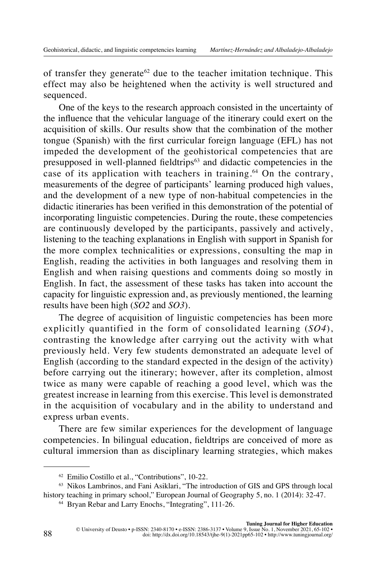of transfer they generate<sup>62</sup> due to the teacher imitation technique. This effect may also be heightened when the activity is well structured and sequenced.

One of the keys to the research approach consisted in the uncertainty of the influence that the vehicular language of the itinerary could exert on the acquisition of skills. Our results show that the combination of the mother tongue (Spanish) with the first curricular foreign language (EFL) has not impeded the development of the geohistorical competencies that are presupposed in well-planned fieldtrips<sup>63</sup> and didactic competencies in the case of its application with teachers in training.<sup>64</sup> On the contrary, measurements of the degree of participants' learning produced high values, and the development of a new type of non-habitual competencies in the didactic itineraries has been verified in this demonstration of the potential of incorporating linguistic competencies. During the route, these competencies are continuously developed by the participants, passively and actively, listening to the teaching explanations in English with support in Spanish for the more complex technicalities or expressions, consulting the map in English, reading the activities in both languages and resolving them in English and when raising questions and comments doing so mostly in English. In fact, the assessment of these tasks has taken into account the capacity for linguistic expression and, as previously mentioned, the learning results have been high (*SO2* and *SO3*).

The degree of acquisition of linguistic competencies has been more explicitly quantified in the form of consolidated learning (*SO4*), contrasting the knowledge after carrying out the activity with what previously held. Very few students demonstrated an adequate level of English (according to the standard expected in the design of the activity) before carrying out the itinerary; however, after its completion, almost twice as many were capable of reaching a good level, which was the greatest increase in learning from this exercise. This level is demonstrated in the acquisition of vocabulary and in the ability to understand and express urban events.

There are few similar experiences for the development of language competencies. In bilingual education, fieldtrips are conceived of more as cultural immersion than as disciplinary learning strategies, which makes

<sup>62</sup> Emilio Costillo et al., "Contributions", 10-22.

<sup>63</sup> Nikos Lambrinos, and Fani Asiklari, "The introduction of GIS and GPS through local history teaching in primary school," European Journal of Geography 5, no. 1 (2014): 32-47.

<sup>64</sup> Bryan Rebar and Larry Enochs, "Integrating", 111-26.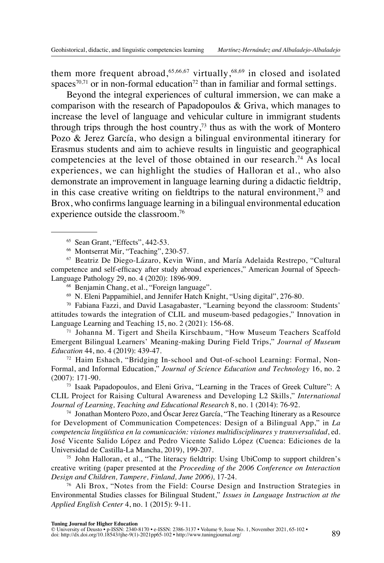them more frequent abroad,  $65,66,67$  virtually,  $68,69$  in closed and isolated spaces<sup>70,71</sup> or in non-formal education<sup>72</sup> than in familiar and formal settings.

Beyond the integral experiences of cultural immersion, we can make a comparison with the research of Papadopoulos & Griva, which manages to increase the level of language and vehicular culture in immigrant students through trips through the host country,<sup>73</sup> thus as with the work of Montero Pozo & Jerez García, who design a bilingual environmental itinerary for Erasmus students and aim to achieve results in linguistic and geographical competencies at the level of those obtained in our research.<sup>74</sup> As local experiences, we can highlight the studies of Halloran et al., who also demonstrate an improvement in language learning during a didactic fieldtrip, in this case creative writing on fieldtrips to the natural environment, $7<sup>5</sup>$  and Brox, who confirms language learning in a bilingual environmental education experience outside the classroom.76

<sup>67</sup> Beatriz De Diego-Lázaro, Kevin Winn, and María Adelaida Restrepo, "Cultural competence and self-efficacy after study abroad experiences," American Journal of Speech-Language Pathology 29, no. 4 (2020): 1896-909.

- <sup>68</sup> Benjamin Chang, et al., "Foreign language".
- <sup>69</sup> N. Eleni Pappamihiel, and Jennifer Hatch Knight, "Using digital", 276-80.

<sup>70</sup> Fabiana Fazzi, and David Lasagabaster, "Learning beyond the classroom: Students' attitudes towards the integration of CLIL and museum-based pedagogies," Innovation in Language Learning and Teaching 15, no. 2 (2021): 156-68.

<sup>71</sup> Johanna M. Tigert and Sheila Kirschbaum, "How Museum Teachers Scaffold Emergent Bilingual Learners' Meaning-making During Field Trips," *Journal of Museum Education* 44, no. 4 (2019): 439-47.

<sup>72</sup> Haim Eshach, "Bridging In-school and Out-of-school Learning: Formal, Non-Formal, and Informal Education," *Journal of Science Education and Technology* 16, no. 2 (2007): 171-90.

<sup>73</sup> Isaak Papadopoulos, and Eleni Griva, "Learning in the Traces of Greek Culture": A CLIL Project for Raising Cultural Awareness and Developing L2 Skills," *International Journal of Learning, Teaching and Educational Research* 8, no. 1 (2014): 76-92.

 $74$  Jonathan Montero Pozo, and Óscar Jerez García, "The Teaching Itinerary as a Resource for Development of Communication Competences: Design of a Bilingual App," in *La competencia lingüística en la comunicación: visiones multidisciplinares y transversalidad*, ed. José Vicente Salido López and Pedro Vicente Salido López (Cuenca: Ediciones de la Universidad de Castilla-La Mancha, 2019), 199-207.

<sup>75</sup> John Halloran, et al., "The literacy fieldtrip: Using UbiComp to support children's creative writing (paper presented at the *Proceeding of the 2006 Conference on Interaction Design and Children, Tampere, Finland, June 2006),* 17-24.

<sup>76</sup> Ali Brox, "Notes from the Field: Course Design and Instruction Strategies in Environmental Studies classes for Bilingual Student," *Issues in Language Instruction at the Applied English Center* 4, no. 1 (2015): 9-11.

<sup>65</sup> Sean Grant, "Effects", 442-53.

<sup>66</sup> Montserrat Mir, "Teaching", 230-57.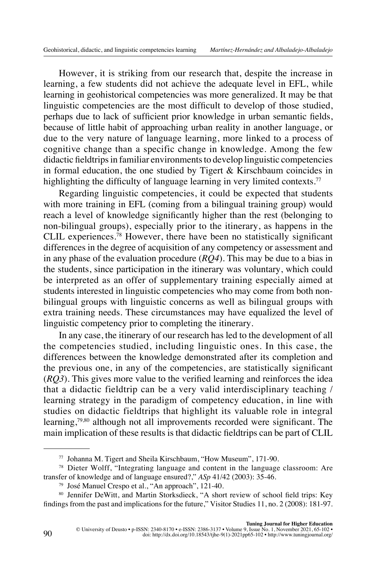However, it is striking from our research that, despite the increase in learning, a few students did not achieve the adequate level in EFL, while learning in geohistorical competencies was more generalized. It may be that linguistic competencies are the most difficult to develop of those studied, perhaps due to lack of sufficient prior knowledge in urban semantic fields, because of little habit of approaching urban reality in another language, or due to the very nature of language learning, more linked to a process of cognitive change than a specific change in knowledge. Among the few didactic fieldtrips in familiar environments to develop linguistic competencies in formal education, the one studied by Tigert & Kirschbaum coincides in highlighting the difficulty of language learning in very limited contexts.<sup>77</sup>

Regarding linguistic competencies, it could be expected that students with more training in EFL (coming from a bilingual training group) would reach a level of knowledge significantly higher than the rest (belonging to non-bilingual groups), especially prior to the itinerary, as happens in the CLIL experiences.78 However, there have been no statistically significant differences in the degree of acquisition of any competency or assessment and in any phase of the evaluation procedure (*RQ4*). This may be due to a bias in the students, since participation in the itinerary was voluntary, which could be interpreted as an offer of supplementary training especially aimed at students interested in linguistic competencies who may come from both nonbilingual groups with linguistic concerns as well as bilingual groups with extra training needs. These circumstances may have equalized the level of linguistic competency prior to completing the itinerary.

In any case, the itinerary of our research has led to the development of all the competencies studied, including linguistic ones. In this case, the differences between the knowledge demonstrated after its completion and the previous one, in any of the competencies, are statistically significant (*RQ3*). This gives more value to the verified learning and reinforces the idea that a didactic fieldtrip can be a very valid interdisciplinary teaching / learning strategy in the paradigm of competency education, in line with studies on didactic fieldtrips that highlight its valuable role in integral learning,<sup>79,80</sup> although not all improvements recorded were significant. The main implication of these results is that didactic fieldtrips can be part of CLIL

<sup>77</sup> Johanna M. Tigert and Sheila Kirschbaum, "How Museum", 171-90.

<sup>78</sup> Dieter Wolff, "Integrating language and content in the language classroom: Are transfer of knowledge and of language ensured?," *ASp* 41/42 (2003): 35-46.

<sup>79</sup> José Manuel Crespo et al., "An approach", 121-40.

<sup>80</sup> Jennifer DeWitt, and Martin Storksdieck, "A short review of school field trips: Key findings from the past and implications for the future," Visitor Studies 11, no. 2 (2008): 181-97.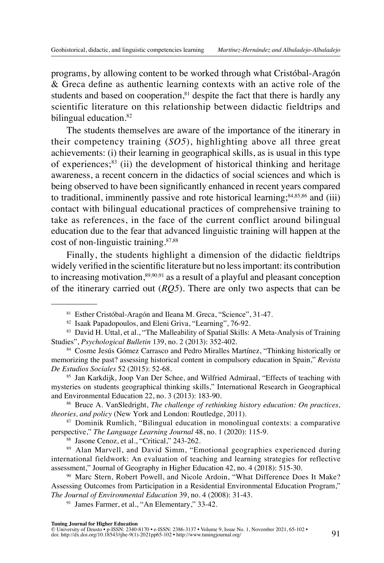programs, by allowing content to be worked through what Cristóbal-Aragón & Greca define as authentic learning contexts with an active role of the students and based on cooperation, ${}^{81}$  despite the fact that there is hardly any scientific literature on this relationship between didactic fieldtrips and bilingual education.<sup>82</sup>

The students themselves are aware of the importance of the itinerary in their competency training (*SO5*), highlighting above all three great achievements: (i) their learning in geographical skills, as is usual in this type of experiences; $83$  (ii) the development of historical thinking and heritage awareness, a recent concern in the didactics of social sciences and which is being observed to have been significantly enhanced in recent years compared to traditional, imminently passive and rote historical learning; $84,85,86$  and (iii) contact with bilingual educational practices of comprehensive training to take as references, in the face of the current conflict around bilingual education due to the fear that advanced linguistic training will happen at the cost of non-linguistic training.87,88

Finally, the students highlight a dimension of the didactic fieldtrips widely verified in the scientific literature but no less important: its contribution to increasing motivation, $\frac{89,90,91}{8}$  as a result of a playful and pleasant conception of the itinerary carried out (*RQ5*). There are only two aspects that can be

<sup>85</sup> Jan Karkdijk, Joop Van Der Schee, and Wilfried Admiraal, "Effects of teaching with mysteries on students geographical thinking skills," International Research in Geographical and Environmental Education 22, no. 3 (2013): 183-90.

<sup>86</sup> Bruce A. VanSledright, *The challenge of rethinking history education: On practices, theories, and policy* (New York and London: Routledge, 2011).

<sup>87</sup> Dominik Rumlich, "Bilingual education in monolingual contexts: a comparative perspective," *The Language Learning Journal* 48, no. 1 (2020): 115-9.

<sup>88</sup> Jasone Cenoz, et al., "Critical," 243-262.

89 Alan Marvell, and David Simm, "Emotional geographies experienced during international fieldwork: An evaluation of teaching and learning strategies for reflective assessment," Journal of Geography in Higher Education 42, no. 4 (2018): 515-30.

<sup>90</sup> Marc Stern, Robert Powell, and Nicole Ardoin, "What Difference Does It Make? Assessing Outcomes from Participation in a Residential Environmental Education Program," *The Journal of Environmental Education* 39, no. 4 (2008): 31-43.

<sup>91</sup> James Farmer, et al., "An Elementary," 33-42.

<sup>81</sup> Esther Cristóbal-Aragón and Ileana M. Greca, "Science", 31-47.

<sup>82</sup> Isaak Papadopoulos, and Eleni Griva, "Learning", 76-92.

<sup>83</sup> David H. Uttal, et al., "The Malleability of Spatial Skills: A Meta-Analysis of Training Studies", *Psychological Bulletin* 139, no. 2 (2013): 352-402.

<sup>84</sup> Cosme Jesús Gómez Carrasco and Pedro Miralles Martínez, "Thinking historically or memorizing the past? assessing historical content in compulsory education in Spain," *Revista De Estudios Sociales* 52 (2015): 52-68.

Tuning Journal for Higher Education<br>© University of Deusto + p-ISSN: 2340-8170 • e-ISSN: 2386-3137 • Volume 9, Issue No. 1, November 2021, 65-102 •<br>doi: [http://dx.doi.org/10.18543/tjhe-9\(1\)-2021pp65-102](http://dx.doi.org/10.18543/tjhe-9(1)-2021pp65-102) • http://www.tunin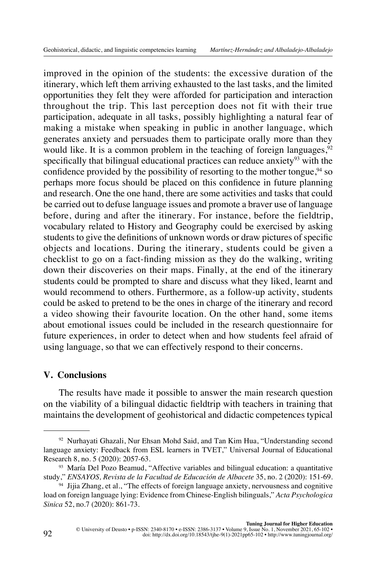improved in the opinion of the students: the excessive duration of the itinerary, which left them arriving exhausted to the last tasks, and the limited opportunities they felt they were afforded for participation and interaction throughout the trip. This last perception does not fit with their true participation, adequate in all tasks, possibly highlighting a natural fear of making a mistake when speaking in public in another language, which generates anxiety and persuades them to participate orally more than they would like. It is a common problem in the teaching of foreign languages,  $92$ specifically that bilingual educational practices can reduce anxiety $93$  with the confidence provided by the possibility of resorting to the mother tongue,  $94$  so perhaps more focus should be placed on this confidence in future planning and research. One the one hand, there are some activities and tasks that could be carried out to defuse language issues and promote a braver use of language before, during and after the itinerary. For instance, before the fieldtrip, vocabulary related to History and Geography could be exercised by asking students to give the definitions of unknown words or draw pictures of specific objects and locations. During the itinerary, students could be given a checklist to go on a fact-finding mission as they do the walking, writing down their discoveries on their maps. Finally, at the end of the itinerary students could be prompted to share and discuss what they liked, learnt and would recommend to others. Furthermore, as a follow-up activity, students could be asked to pretend to be the ones in charge of the itinerary and record a video showing their favourite location. On the other hand, some items about emotional issues could be included in the research questionnaire for future experiences, in order to detect when and how students feel afraid of using language, so that we can effectively respond to their concerns.

# **V. Conclusions**

The results have made it possible to answer the main research question on the viability of a bilingual didactic fieldtrip with teachers in training that maintains the development of geohistorical and didactic competences typical

<sup>92</sup> Nurhayati Ghazali, Nur Ehsan Mohd Said, and Tan Kim Hua, "Understanding second language anxiety: Feedback from ESL learners in TVET," Universal Journal of Educational Research 8, no. 5 (2020): 2057-63.

<sup>93</sup> María Del Pozo Beamud, "Affective variables and bilingual education: a quantitative study," *ENSAYOS, Revista de la Facultad de Educación de Albacete* 35, no. 2 (2020): 151-69.

<sup>94</sup> Jijia Zhang, et al., "The effects of foreign language anxiety, nervousness and cognitive load on foreign language lying: Evidence from Chinese-English bilinguals," *Acta Psychologica Sinica* 52, no.7 (2020): 861-73.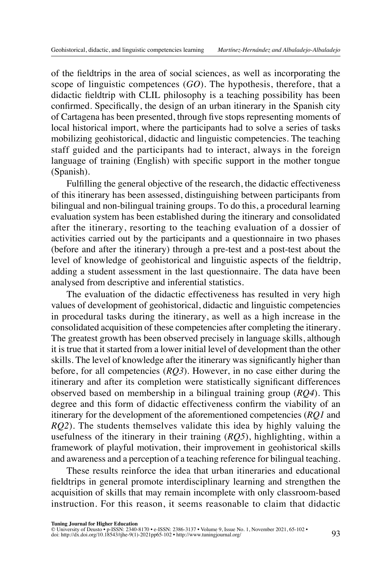of the fieldtrips in the area of social sciences, as well as incorporating the scope of linguistic competences (*GO*). The hypothesis, therefore, that a didactic fieldtrip with CLIL philosophy is a teaching possibility has been confirmed. Specifically, the design of an urban itinerary in the Spanish city of Cartagena has been presented, through five stops representing moments of local historical import, where the participants had to solve a series of tasks mobilizing geohistorical, didactic and linguistic competencies. The teaching staff guided and the participants had to interact, always in the foreign language of training (English) with specific support in the mother tongue (Spanish).

Fulfilling the general objective of the research, the didactic effectiveness of this itinerary has been assessed, distinguishing between participants from bilingual and non-bilingual training groups. To do this, a procedural learning evaluation system has been established during the itinerary and consolidated after the itinerary, resorting to the teaching evaluation of a dossier of activities carried out by the participants and a questionnaire in two phases (before and after the itinerary) through a pre-test and a post-test about the level of knowledge of geohistorical and linguistic aspects of the fieldtrip, adding a student assessment in the last questionnaire. The data have been analysed from descriptive and inferential statistics.

The evaluation of the didactic effectiveness has resulted in very high values of development of geohistorical, didactic and linguistic competencies in procedural tasks during the itinerary, as well as a high increase in the consolidated acquisition of these competencies after completing the itinerary. The greatest growth has been observed precisely in language skills, although it is true that it started from a lower initial level of development than the other skills. The level of knowledge after the itinerary was significantly higher than before, for all competencies (*RQ3*). However, in no case either during the itinerary and after its completion were statistically significant differences observed based on membership in a bilingual training group (*RQ4*). This degree and this form of didactic effectiveness confirm the viability of an itinerary for the development of the aforementioned competencies (*RQ1* and *RQ2*). The students themselves validate this idea by highly valuing the usefulness of the itinerary in their training (*RQ5*), highlighting, within a framework of playful motivation, their improvement in geohistorical skills and awareness and a perception of a teaching reference for bilingual teaching.

These results reinforce the idea that urban itineraries and educational fieldtrips in general promote interdisciplinary learning and strengthen the acquisition of skills that may remain incomplete with only classroom-based instruction. For this reason, it seems reasonable to claim that didactic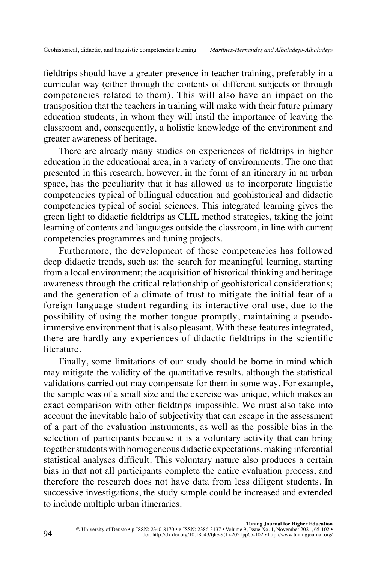fieldtrips should have a greater presence in teacher training, preferably in a curricular way (either through the contents of different subjects or through competencies related to them). This will also have an impact on the transposition that the teachers in training will make with their future primary education students, in whom they will instil the importance of leaving the classroom and, consequently, a holistic knowledge of the environment and greater awareness of heritage.

There are already many studies on experiences of fieldtrips in higher education in the educational area, in a variety of environments. The one that presented in this research, however, in the form of an itinerary in an urban space, has the peculiarity that it has allowed us to incorporate linguistic competencies typical of bilingual education and geohistorical and didactic competencies typical of social sciences. This integrated learning gives the green light to didactic fieldtrips as CLIL method strategies, taking the joint learning of contents and languages outside the classroom, in line with current competencies programmes and tuning projects.

Furthermore, the development of these competencies has followed deep didactic trends, such as: the search for meaningful learning, starting from a local environment; the acquisition of historical thinking and heritage awareness through the critical relationship of geohistorical considerations; and the generation of a climate of trust to mitigate the initial fear of a foreign language student regarding its interactive oral use, due to the possibility of using the mother tongue promptly, maintaining a pseudoimmersive environment that is also pleasant. With these features integrated, there are hardly any experiences of didactic fieldtrips in the scientific literature.

Finally, some limitations of our study should be borne in mind which may mitigate the validity of the quantitative results, although the statistical validations carried out may compensate for them in some way. For example, the sample was of a small size and the exercise was unique, which makes an exact comparison with other fieldtrips impossible. We must also take into account the inevitable halo of subjectivity that can escape in the assessment of a part of the evaluation instruments, as well as the possible bias in the selection of participants because it is a voluntary activity that can bring together students with homogeneous didactic expectations, making inferential statistical analyses difficult. This voluntary nature also produces a certain bias in that not all participants complete the entire evaluation process, and therefore the research does not have data from less diligent students. In successive investigations, the study sample could be increased and extended to include multiple urban itineraries.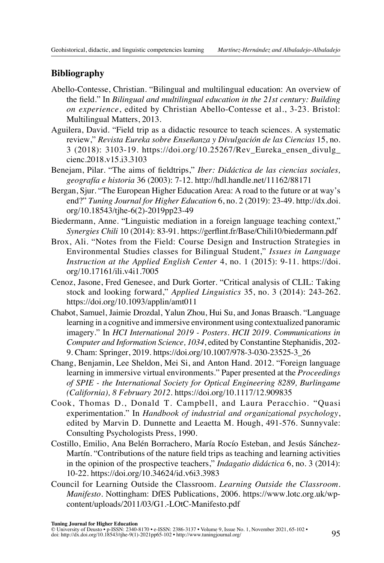# **Bibliography**

- Abello-Contesse, Christian. "Bilingual and multilingual education: An overview of the field." In *Bilingual and multilingual education in the 21st century: Building on experience*, edited by Christian Abello-Contesse et al., 3-23. Bristol: Multilingual Matters, 2013.
- Aguilera, David. "Field trip as a didactic resource to teach sciences. A systematic review," *Revista Eureka sobre Enseñanza y Divulgación de las Ciencias* 15, no. 3 (2018): 3103-19. [https://doi.org/10.25267/Rev\\_Eureka\\_ensen\\_divulg\\_](https://doi.org/10.25267/Rev_Eureka_ensen_divulg_cienc.2018.v15.i3.3103) [cienc.2018.v15.i3.3103](https://doi.org/10.25267/Rev_Eureka_ensen_divulg_cienc.2018.v15.i3.3103)
- Benejam, Pilar. "The aims of fieldtrips," *Iber: Didáctica de las ciencias sociales, geografía e historia* 36 (2003): 7-12. <http://hdl.handle.net/11162/88171>
- Bergan, Sjur. "The European Higher Education Area: A road to the future or at way's end?" *Tuning Journal for Higher Education* 6, no. 2 (2019): 23-49. [http://dx.doi.](http://dx.doi.org/10.18543/tjhe-6(2)-2019pp23-49) [org/10.18543/tjhe-6\(2\)-2019pp23-49](http://dx.doi.org/10.18543/tjhe-6(2)-2019pp23-49)
- Biedermann, Anne. "Linguistic mediation in a foreign language teaching context," *Synergies Chili* 10 (2014): 83-91. <https://gerflint.fr/Base/Chili10/biedermann.pdf>
- Brox, Ali. "Notes from the Field: Course Design and Instruction Strategies in Environmental Studies classes for Bilingual Student," *Issues in Language Instruction at the Applied English Center* 4, no. 1 (2015): 9-11. [https://doi.](https://doi.org/10.17161/ili.v4i1.7005) [org/10.17161/ili.v4i1.7005](https://doi.org/10.17161/ili.v4i1.7005)
- Cenoz, Jasone, Fred Genesee, and Durk Gorter. "Critical analysis of CLIL: Taking stock and looking forward," *Applied Linguistics* 35, no. 3 (2014): 243-262. <https://doi.org/10.1093/applin/amt011>
- Chabot, Samuel, Jaimie Drozdal, Yalun Zhou, Hui Su, and Jonas Braasch. "Language learning in a cognitive and immersive environment using contextualized panoramic imagery." In *HCI International 2019 - Posters. HCII 2019. Communications in Computer and Information Science, 1034*, edited by Constantine Stephanidis, 202- 9. Cham: Springer, 2019. [https://doi.org/10.1007/978-3-030-23525-3\\_26](https://doi.org/10.1007/978-3-030-23525-3_26)
- Chang, Benjamin, Lee Sheldon, Mei Si, and Anton Hand. 2012. "Foreign language learning in immersive virtual environments." Paper presented at the *Proceedings of SPIE - the International Society for Optical Engineering 8289, Burlingame (California), 8 February 2012*.<https://doi.org/10.1117/12.909835>
- Cook, Thomas D., Donald T. Campbell, and Laura Peracchio. "Quasi experimentation." In *Handbook of industrial and organizational psychology*, edited by Marvin D. Dunnette and Leaetta M. Hough, 491-576. Sunnyvale: Consulting Psychologists Press, 1990.
- Costillo, Emilio, Ana Belén Borrachero, María Rocío Esteban, and Jesús Sánchez-Martín. "Contributions of the nature field trips as teaching and learning activities in the opinion of the prospective teachers," *Indagatio didáctica* 6, no. 3 (2014): 10-22. <https://doi.org/10.34624/id.v6i3.3983>
- Council for Learning Outside the Classroom. *Learning Outside the Classroom. Manifesto*. Nottingham: DfES Publications, 2006. [https://www.lotc.org.uk/wp](https://www.lotc.org.uk/wp-content/uploads/2011/03/G1.-LOtC-Manifesto.pdf)[content/uploads/2011/03/G1.-LOtC-Manifesto.pdf](https://www.lotc.org.uk/wp-content/uploads/2011/03/G1.-LOtC-Manifesto.pdf)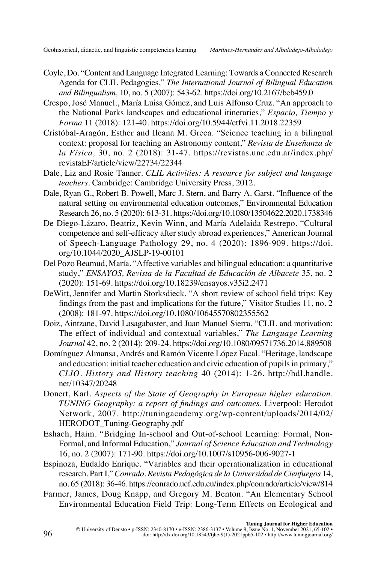- Coyle, Do. "Content and Language Integrated Learning: Towards a Connected Research Agenda for CLIL Pedagogies," *The International Journal of Bilingual Education and Bilingualism,* 10, no. 5 (2007): 543-62.<https://doi.org/10.2167/beb459.0>
- Crespo, José Manuel., María Luisa Gómez, and Luis Alfonso Cruz. "An approach to the National Parks landscapes and educational itineraries," *Espacio, Tiempo y Forma* 11 (2018): 121-40.<https://doi.org/10.5944/etfvi.11.2018.22359>
- Cristóbal-Aragón, Esther and Ileana M. Greca. "Science teaching in a bilingual context: proposal for teaching an Astronomy content," *Revista de Enseñanza de la Física,* 30, no. 2 (2018): 31-47. [https://revistas.unc.edu.ar/index.php/](https://revistas.unc.edu.ar/index.php/revistaEF/article/view/22734/22344) [revistaEF/article/view/22734/22344](https://revistas.unc.edu.ar/index.php/revistaEF/article/view/22734/22344)
- Dale, Liz and Rosie Tanner. *CLIL Activities: A resource for subject and language teachers*. Cambridge: Cambridge University Press, 2012.
- Dale, Ryan G., Robert B. Powell, Marc J. Stern, and Barry A. Garst. "Influence of the natural setting on environmental education outcomes," Environmental Education Research 26, no. 5 (2020): 613-31.<https://doi.org/10.1080/13504622.2020.1738346>
- De Diego-Lázaro, Beatriz, Kevin Winn, and María Adelaida Restrepo. "Cultural competence and self-efficacy after study abroad experiences," American Journal of Speech-Language Pathology 29, no. 4 (2020): 1896-909. [https://doi.](https://doi.org/10.1044/2020_AJSLP-19-00101) [org/10.1044/2020\\_AJSLP-19-00101](https://doi.org/10.1044/2020_AJSLP-19-00101)
- Del Pozo Beamud, María. "Affective variables and bilingual education: a quantitative study," *ENSAYOS, Revista de la Facultad de Educación de Albacete* 35, no. 2 (2020): 151-69.<https://doi.org/10.18239/ensayos.v35i2.2471>
- DeWitt, Jennifer and Martin Storksdieck. "A short review of school field trips: Key findings from the past and implications for the future," Visitor Studies 11, no. 2 (2008): 181-97.<https://doi.org/10.1080/10645570802355562>
- Doiz, Aintzane, David Lasagabaster, and Juan Manuel Sierra. "CLIL and motivation: The effect of individual and contextual variables," *The Language Learning Journal* 42, no. 2 (2014): 209-24. <https://doi.org/10.1080/09571736.2014.889508>
- Domínguez Almansa, Andrés and Ramón Vicente López Facal. "Heritage, landscape and education: initial teacher education and civic education of pupils in primary," *CLIO. History and History teaching* 40 (2014): 1-26. [http://hdl.handle.](http://hdl.handle.net/10347/20248) [net/10347/20248](http://hdl.handle.net/10347/20248)
- Donert, Karl. *Aspects of the State of Geography in European higher education. TUNING Geography: a report of findings and outcomes*. Liverpool: Herodot Network, 2007. [http://tuningacademy.org/wp-content/uploads/2014/02/](http://tuningacademy.org/wp-content/uploads/2014/02/HERODOT_Tuning-Geography.pdf) [HERODOT\\_Tuning-Geography.pdf](http://tuningacademy.org/wp-content/uploads/2014/02/HERODOT_Tuning-Geography.pdf)
- Eshach, Haim. "Bridging In-school and Out-of-school Learning: Formal, Non-Formal, and Informal Education," *Journal of Science Education and Technology* 16, no. 2 (2007): 171-90. <https://doi.org/10.1007/s10956-006-9027-1>
- Espinoza, Eudaldo Enrique. "Variables and their operationalization in educational research. Part I," *Conrado. Revista Pedagógica de la Universidad de Cienfuegos* 14, no. 65 (2018): 36-46.<https://conrado.ucf.edu.cu/index.php/conrado/article/view/814>
- Farmer, James, Doug Knapp, and Gregory M. Benton. "An Elementary School Environmental Education Field Trip: Long-Term Effects on Ecological and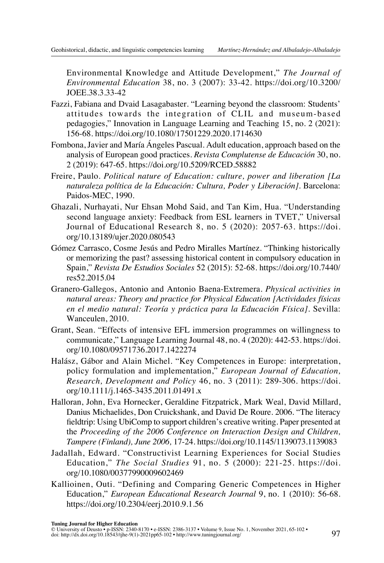Environmental Knowledge and Attitude Development," *The Journal of Environmental Education* 38, no. 3 (2007): 33-42. [https://doi.org/10.3200/](https://doi.org/10.3200/JOEE.38.3.33-42) [JOEE.38.3.33-42](https://doi.org/10.3200/JOEE.38.3.33-42)

- Fazzi, Fabiana and Dvaid Lasagabaster. "Learning beyond the classroom: Students' attitudes towards the integration of CLIL and museum-based pedagogies," Innovation in Language Learning and Teaching 15, no. 2 (2021): 156-68.<https://doi.org/10.1080/17501229.2020.1714630>
- Fombona, Javier and María Ángeles Pascual. Adult education, approach based on the analysis of European good practices. *Revista Complutense de Educación* 30, no. 2 (2019): 647-65. <https://doi.org/10.5209/RCED.58882>
- Freire, Paulo. *Political nature of Education: culture, power and liberation [La naturaleza política de la Educación: Cultura, Poder y Liberación]*. Barcelona: Paidos-MEC, 1990.
- Ghazali, Nurhayati, Nur Ehsan Mohd Said, and Tan Kim, Hua. "Understanding second language anxiety: Feedback from ESL learners in TVET," Universal Journal of Educational Research 8, no. 5 (2020): 2057-63. [https://doi.](https://doi.org/10.13189/ujer.2020.080543) [org/10.13189/ujer.2020.080543](https://doi.org/10.13189/ujer.2020.080543)
- Gómez Carrasco, Cosme Jesús and Pedro Miralles Martínez. "Thinking historically or memorizing the past? assessing historical content in compulsory education in Spain," *Revista De Estudios Sociales* 52 (2015): 52-68. [https://doi.org/10.7440/](https://doi.org/10.7440/res52.2015.04) [res52.2015.04](https://doi.org/10.7440/res52.2015.04)
- Granero-Gallegos, Antonio and Antonio Baena-Extremera. *Physical activities in natural areas: Theory and practice for Physical Education [Actividades físicas en el medio natural: Teoría y práctica para la Educación Física].* Sevilla: Wanceulen, 2010.
- Grant, Sean. "Effects of intensive EFL immersion programmes on willingness to communicate," Language Learning Journal 48, no. 4 (2020): 442-53. [https://doi.](https://doi.org/10.1080/09571736.2017.1422274) [org/10.1080/09571736.2017.1422274](https://doi.org/10.1080/09571736.2017.1422274)
- Halász, Gábor and Alain Michel. "Key Competences in Europe: interpretation, policy formulation and implementation," *European Journal of Education, Research, Development and Policy* 46, no. 3 (2011): 289-306. [https://doi.](https://doi.org/10.1111/j.1465-3435.2011.01491.x) [org/10.1111/j.1465-3435.2011.01491.x](https://doi.org/10.1111/j.1465-3435.2011.01491.x)
- Halloran, John, Eva Hornecker, Geraldine Fitzpatrick, Mark Weal, David Millard, Danius Michaelides, Don Cruickshank, and David De Roure. 2006. "The literacy fieldtrip: Using UbiComp to support children's creative writing. Paper presented at the *Proceeding of the 2006 Conference on Interaction Design and Children, Tampere (Finland), June 2006,* 17-24.<https://doi.org/10.1145/1139073.1139083>
- Jadallah, Edward. "Constructivist Learning Experiences for Social Studies Education," *The Social Studies* 91, no. 5 (2000): 221-25. [https://doi.](https://doi.org/10.1080/00377990009602469) [org/10.1080/00377990009602469](https://doi.org/10.1080/00377990009602469)
- Kallioinen, Outi. "Defining and Comparing Generic Competences in Higher Education," *European Educational Research Journal* 9, no. 1 (2010): 56-68. [https://doi.org/10.2304/eerj.2010.9.1.56](https://doi.org/10.2304%2Feerj.2010.9.1.56)

**Tuning Journal for Higher Education**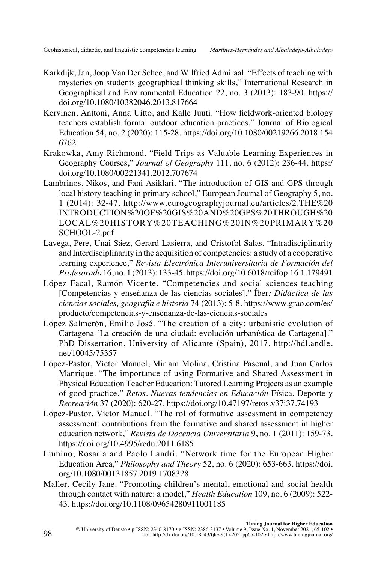- Karkdijk, Jan, Joop Van Der Schee, and Wilfried Admiraal. "Effects of teaching with mysteries on students geographical thinking skills," International Research in Geographical and Environmental Education 22, no. 3 (2013): 183-90. [https://](https://doi.org/10.1080/10382046.2013.817664) [doi.org/10.1080/10382046.2013.817664](https://doi.org/10.1080/10382046.2013.817664)
- Kervinen, Anttoni, Anna Uitto, and Kalle Juuti. "How fieldwork-oriented biology teachers establish formal outdoor education practices," Journal of Biological Education 54, no. 2 (2020): 115-28. [https://doi.org/10.1080/00219266.2018.154](https://doi.org/10.1080/00219266.2018.1546762) [6762](https://doi.org/10.1080/00219266.2018.1546762)
- Krakowka, Amy Richmond. "Field Trips as Valuable Learning Experiences in Geography Courses," *Journal of Geography* 111, no. 6 (2012): 236-44. [https:/](https://doi.org/10.1080/00221341.2012.707674) [doi.org/10.1080/00221341.2012.707674](https://doi.org/10.1080/00221341.2012.707674)
- Lambrinos, Nikos, and Fani Asiklari. "The introduction of GIS and GPS through local history teaching in primary school," European Journal of Geography 5, no. 1 (2014): 32-47. [http://www.eurogeographyjournal.eu/articles/2.THE%20](http://www.eurogeographyjournal.eu/articles/2.THE%20INTRODUCTION%20OF%20GIS%20AND%20GPS%20THROUGH%20LOCAL%20HISTORY%20TEACHING%20IN%20PRIMARY%20SCHOOL-2.pdf) [INTRODUCTION%20OF%20GIS%20AND%20GPS%20THROUGH%20](http://www.eurogeographyjournal.eu/articles/2.THE%20INTRODUCTION%20OF%20GIS%20AND%20GPS%20THROUGH%20LOCAL%20HISTORY%20TEACHING%20IN%20PRIMARY%20SCHOOL-2.pdf) [LOCAL%20HISTORY%20TEACHING%20IN%20PRIMARY%20](http://www.eurogeographyjournal.eu/articles/2.THE%20INTRODUCTION%20OF%20GIS%20AND%20GPS%20THROUGH%20LOCAL%20HISTORY%20TEACHING%20IN%20PRIMARY%20SCHOOL-2.pdf) [SCHOOL-2.pdf](http://www.eurogeographyjournal.eu/articles/2.THE%20INTRODUCTION%20OF%20GIS%20AND%20GPS%20THROUGH%20LOCAL%20HISTORY%20TEACHING%20IN%20PRIMARY%20SCHOOL-2.pdf)
- Lavega, Pere, Unai Sáez, Gerard Lasierra, and Cristofol Salas. "Intradisciplinarity and Interdisciplinarity in the acquisition of competencies: a study of a cooperative learning experience," *Revista Electrónica Interuniversitaria de Formación del Profesorado* 16, no. 1 (2013): 133-45.<https://doi.org/10.6018/reifop.16.1.179491>
- López Facal, Ramón Vicente. "Competencies and social sciences teaching [Competencias y enseñanza de las ciencias sociales]," Íber*: Didáctica de las ciencias sociales, geografía e historia* 74 (2013): 5-8. [https://www.grao.com/es/](https://www.grao.com/es/producto/competencias-y-ensenanza-de-las-ciencias-sociales) [producto/competencias-y-ensenanza-de-las-ciencias-sociales](https://www.grao.com/es/producto/competencias-y-ensenanza-de-las-ciencias-sociales)
- López Salmerón, Emilio José. "The creation of a city: urbanistic evolution of Cartagena [La creación de una ciudad: evolución urbanística de Cartagena]." PhD Dissertation, University of Alicante (Spain), 2017. [http://hdl.andle.](http://hdl.andle.net/10045/75357) [net/10045/75357](http://hdl.andle.net/10045/75357)
- López-Pastor, Víctor Manuel, Miriam Molina, Cristina Pascual, and Juan Carlos Manrique. "The importance of using Formative and Shared Assessment in Physical Education Teacher Education: Tutored Learning Projects as an example of good practice," *Retos. Nuevas tendencias en Educación* Física, Deporte y *Recreación* 37 (2020): 620-27. <https://doi.org/10.47197/retos.v37i37.74193>
- López-Pastor, Víctor Manuel. "The rol of formative assessment in competency assessment: contributions from the formative and shared assessment in higher education network," *Revista de Docencia Universitaria* 9, no. 1 (2011): 159-73. <https://doi.org/10.4995/redu.2011.6185>
- Lumino, Rosaria and Paolo Landri. "Network time for the European Higher Education Area," *Philosophy and Theory* 52, no. 6 (2020): 653-663. [https://doi.](https://doi.org/10.1080/00131857.2019.1708328) [org/10.1080/00131857.2019.1708328](https://doi.org/10.1080/00131857.2019.1708328)
- Maller, Cecily Jane. "Promoting children's mental, emotional and social health through contact with nature: a model," *Health Education* 109, no. 6 (2009): 522- 43.<https://doi.org/10.1108/09654280911001185>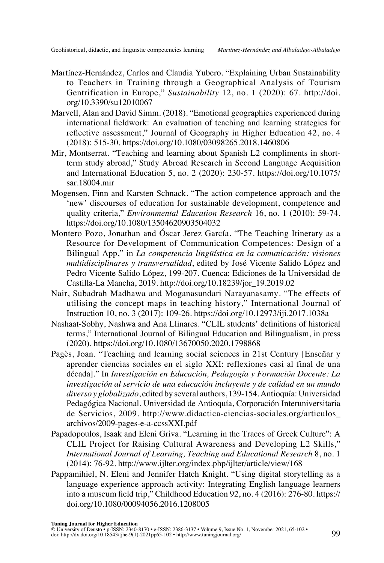- Martínez-Hernández, Carlos and Claudia Yubero. "Explaining Urban Sustainability to Teachers in Training through a Geographical Analysis of Tourism Gentrification in Europe," *Sustainability* 12, no. 1 (2020): 67. [http://doi.](http://doi.org/10.3390/su12010067) [org/10.3390/su12010067](http://doi.org/10.3390/su12010067)
- Marvell, Alan and David Simm. (2018). "Emotional geographies experienced during international fieldwork: An evaluation of teaching and learning strategies for reflective assessment," Journal of Geography in Higher Education 42, no. 4 (2018): 515-30. <https://doi.org/10.1080/03098265.2018.1460806>
- Mir, Montserrat. "Teaching and learning about Spanish L2 compliments in shortterm study abroad," Study Abroad Research in Second Language Acquisition and International Education 5, no. 2 (2020): 230-57. [https://doi.org/10.1075/](https://doi.org/10.1075/sar.18004.mir) [sar.18004.mir](https://doi.org/10.1075/sar.18004.mir)
- Mogensen, Finn and Karsten Schnack. "The action competence approach and the 'new' discourses of education for sustainable development, competence and quality criteria," *Environmental Education Research* 16, no. 1 (2010): 59-74. <https://doi.org/10.1080/13504620903504032>
- Montero Pozo, Jonathan and Óscar Jerez García. "The Teaching Itinerary as a Resource for Development of Communication Competences: Design of a Bilingual App," in *La competencia lingüística en la comunicación: visiones multidisciplinares y transversalidad*, edited by José Vicente Salido López and Pedro Vicente Salido López, 199-207. Cuenca: Ediciones de la Universidad de Castilla-La Mancha, 2019. [http://doi.org/10.18239/jor\\_19.2019.02](http://doi.org/10.18239/jor_19.2019.02)
- Nair, Subadrah Madhawa and Moganasundari Narayanasamy. "The effects of utilising the concept maps in teaching history," International Journal of Instruction 10, no. 3 (2017): 109-26. <https://doi.org/10.12973/iji.2017.1038a>
- Nashaat-Sobhy, Nashwa and Ana Llinares. "CLIL students' definitions of historical terms," International Journal of Bilingual Education and Bilingualism, in press (2020). <https://doi.org/10.1080/13670050.2020.1798868>
- Pagès, Joan. "Teaching and learning social sciences in 21st Century [Enseñar y aprender ciencias sociales en el siglo XXI: reflexiones casi al final de una década]." In *Investigación en Educación, Pedagogía y Formación Docente: La investigación al servicio de una educación incluyente y de calidad en un mundo diverso y globalizado*, edited by several authors, 139-154. Antioquía: Universidad Pedagógica Nacional, Universidad de Antioquía, Corporación Interuniversitaria de Servicios, 2009. [http://www.didactica-ciencias-sociales.org/articulos\\_](http://www.didactica-ciencias-sociales.org/articulos_archivos/2009-pages-e-a-ccssXXI.pdf) [archivos/2009-pages-e-a-ccssXXI.pdf](http://www.didactica-ciencias-sociales.org/articulos_archivos/2009-pages-e-a-ccssXXI.pdf)
- Papadopoulos, Isaak and Eleni Griva. "Learning in the Traces of Greek Culture": A CLIL Project for Raising Cultural Awareness and Developing L2 Skills," *International Journal of Learning, Teaching and Educational Research* 8, no. 1 (2014): 76-92. <http://www.ijlter.org/index.php/ijlter/article/view/168>
- Pappamihiel, N. Eleni and Jennifer Hatch Knight. "Using digital storytelling as a language experience approach activity: Integrating English language learners into a museum field trip," Childhood Education 92, no. 4 (2016): 276-80. [https://](https://doi.org/10.1080/00094056.2016.1208005) [doi.org/10.1080/00094056.2016.1208005](https://doi.org/10.1080/00094056.2016.1208005)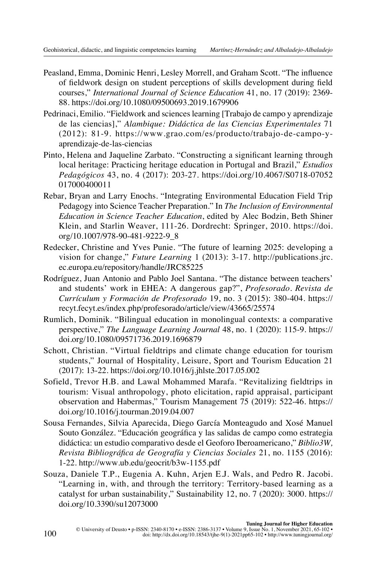- Peasland, Emma, Dominic Henri, Lesley Morrell, and Graham Scott. "The influence of fieldwork design on student perceptions of skills development during field courses," *International Journal of Science Education* 41, no. 17 (2019): 2369- 88.<https://doi.org/10.1080/09500693.2019.1679906>
- Pedrinaci, Emilio. "Fieldwork and sciences learning [Trabajo de campo y aprendizaje de las ciencias]," *Alambique: Didáctica de las Ciencias Experimentales* 71 (2012): 81-9. [https://www.grao.com/es/producto/trabajo-de-campo-y](https://www.grao.com/es/producto/trabajo-de-campo-y-aprendizaje-de-las-ciencias)[aprendizaje-de-las-ciencias](https://www.grao.com/es/producto/trabajo-de-campo-y-aprendizaje-de-las-ciencias)
- Pinto, Helena and Jaqueline Zarbato. "Constructing a significant learning through local heritage: Practicing heritage education in Portugal and Brazil," *Estudios Pedagógicos* 43, no. 4 (2017): 203-27. [https://doi.org/10.4067/S0718-07052](https://doi.org/10.4067/S0718-07052017000400011) [017000400011](https://doi.org/10.4067/S0718-07052017000400011)
- Rebar, Bryan and Larry Enochs. "Integrating Environmental Education Field Trip Pedagogy into Science Teacher Preparation." In *The Inclusion of Environmental Education in Science Teacher Education*, edited by Alec Bodzin, Beth Shiner Klein, and Starlin Weaver, 111-26. Dordrecht: Springer, 2010. [https://doi.](https://doi.org/10.1007/978-90-481-9222-9_8) [org/10.1007/978-90-481-9222-9\\_8](https://doi.org/10.1007/978-90-481-9222-9_8)
- Redecker, Christine and Yves Punie. "The future of learning 2025: developing a vision for change," *Future Learning* 1 (2013): 3-17. [http://publications.jrc.](http://publications.jrc.ec.europa.eu/repository/handle/JRC85225) [ec.europa.eu/repository/handle/JRC85225](http://publications.jrc.ec.europa.eu/repository/handle/JRC85225)
- Rodríguez, Juan Antonio and Pablo Joel Santana. "The distance between teachers' and students' work in EHEA: A dangerous gap?", *Profesorado. Revista de Currículum y Formación de Profesorado* 19, no. 3 (2015): 380-404. [https://](https://recyt.fecyt.es/index.php/profesorado/article/view/43665/25574) [recyt.fecyt.es/index.php/profesorado/article/view/43665/25574](https://recyt.fecyt.es/index.php/profesorado/article/view/43665/25574)
- Rumlich, Dominik. "Bilingual education in monolingual contexts: a comparative perspective," *The Language Learning Journal* 48, no. 1 (2020): 115-9. [https://](https://doi.org/10.1080/09571736.2019.1696879) [doi.org/10.1080/09571736.2019.1696879](https://doi.org/10.1080/09571736.2019.1696879)
- Schott, Christian. "Virtual fieldtrips and climate change education for tourism students," Journal of Hospitality, Leisure, Sport and Tourism Education 21 (2017): 13-22.<https://doi.org/10.1016/j.jhlste.2017.05.002>
- Sofield, Trevor H.B. and Lawal Mohammed Marafa. "Revitalizing fieldtrips in tourism: Visual anthropology, photo elicitation, rapid appraisal, participant observation and Habermas," Tourism Management 75 (2019): 522-46. [https://](https://doi.org/10.1016/j.tourman.2019.04.007) [doi.org/10.1016/j.tourman.2019.04.007](https://doi.org/10.1016/j.tourman.2019.04.007)
- Sousa Fernandes, Silvia Aparecida, Diego García Monteagudo and Xosé Manuel Souto González. "Educación geográfica y las salidas de campo como estrategia didáctica: un estudio comparativo desde el Geoforo Iberoamericano," *Biblio3W, Revista Bibliográfica de Geografía y Ciencias Sociales* 21, no. 1155 (2016): 1-22.<http://www.ub.edu/geocrit/b3w-1155.pdf>
- Souza, Daniele T.P., Eugenia A. Kuhn, Arjen E.J. Wals, and Pedro R. Jacobi. "Learning in, with, and through the territory: Territory-based learning as a catalyst for urban sustainability," Sustainability 12, no. 7 (2020): 3000. [https://](https://doi.org/10.3390/su12073000) [doi.org/10.3390/su12073000](https://doi.org/10.3390/su12073000)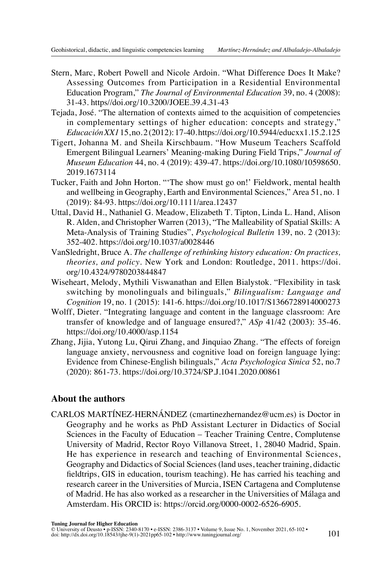- <span id="page-36-0"></span>Stern, Marc, Robert Powell and Nicole Ardoin. "What Difference Does It Make? Assessing Outcomes from Participation in a Residential Environmental Education Program," *The Journal of Environmental Education* 39, no. 4 (2008): 31-43. [https//doi.org/10.3200/JOEE.39.4.31-43](https://doi.org/10.3200/JOEE.39.4.31-43)
- Tejada, José. "The alternation of contexts aimed to the acquisition of competencies in complementary settings of higher education: concepts and strategy," *Educación XX1* 15, no. 2 (2012): 17-40.<https://doi.org/10.5944/educxx1.15.2.125>
- Tigert, Johanna M. and Sheila Kirschbaum. "How Museum Teachers Scaffold Emergent Bilingual Learners' Meaning-making During Field Trips," *Journal of Museum Education* 44, no. 4 (2019): 439-47. [https://doi.org/10.1080/10598650.](https://doi.org/10.1080/10598650.2019.1673114) [2019.1673114](https://doi.org/10.1080/10598650.2019.1673114)
- Tucker, Faith and John Horton. "'The show must go on!' Fieldwork, mental health and wellbeing in Geography, Earth and Environmental Sciences," Area 51, no. 1 (2019): 84-93. <https://doi.org/10.1111/area.12437>
- Uttal, David H., Nathaniel G. Meadow, Elizabeth T. Tipton, Linda L. Hand, Alison R. Alden, and Christopher Warren (2013), "The Malleability of Spatial Skills: A Meta-Analysis of Training Studies", *Psychological Bulletin* 139, no. 2 (2013): 352-402.<https://doi.org/10.1037/a0028446>
- VanSledright, Bruce A. *The challenge of rethinking history education: On practices, theories, and policy*. New York and London: Routledge, 2011. [https://doi.](https://doi.org/10.4324/9780203844847) [org/10.4324/9780203844847](https://doi.org/10.4324/9780203844847)
- Wiseheart, Melody, Mythili Viswanathan and Ellen Bialystok. "Flexibility in task switching by monolinguals and bilinguals," *Bilingualism: Language and Cognition* 19, no. 1 (2015): 141-6.<https://doi.org/10.1017/S1366728914000273>
- Wolff, Dieter. "Integrating language and content in the language classroom: Are transfer of knowledge and of language ensured?," *ASp* 41/42 (2003): 35-46. <https://doi.org/10.4000/asp.1154>
- Zhang, Jijia, Yutong Lu, Qirui Zhang, and Jinquiao Zhang. "The effects of foreign language anxiety, nervousness and cognitive load on foreign language lying: Evidence from Chinese-English bilinguals," *Acta Psychologica Sinica* 52, no.7 (2020): 861-73. <https://doi.org/10.3724/SP.J.1041.2020.00861>

# **About the authors**

CARLOS MARTÍNEZ-HERNÁNDEZ ([cmartinezhernandez@ucm.es](mailto:cmartinezhernandez@ucm.es)) is Doctor in Geography and he works as PhD Assistant Lecturer in Didactics of Social Sciences in the Faculty of Education – Teacher Training Centre, Complutense University of Madrid, Rector Royo Villanova Street, 1, 28040 Madrid, Spain. He has experience in research and teaching of Environmental Sciences, Geography and Didactics of Social Sciences (land uses, teacher training, didactic fieldtrips, GIS in education, tourism teaching). He has carried his teaching and research career in the Universities of Murcia, ISEN Cartagena and Complutense of Madrid. He has also worked as a researcher in the Universities of Málaga and Amsterdam. His ORCID is: [https://orcid.org/0000-0002-6526-6905.](https://orcid.org/0000-0002-6526-6905)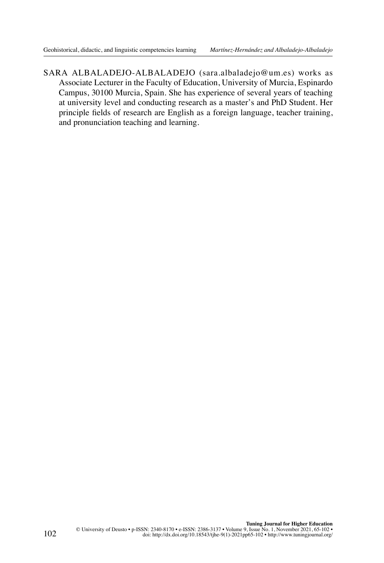SARA ALBALADEJO-ALBALADEJO ([sara.albaladejo@um.es\)](mailto:sara.albaladejo@um.es) works as Associate Lecturer in the Faculty of Education, University of Murcia, Espinardo Campus, 30100 Murcia, Spain. She has experience of several years of teaching at university level and conducting research as a master's and PhD Student. Her principle fields of research are English as a foreign language, teacher training, and pronunciation teaching and learning.